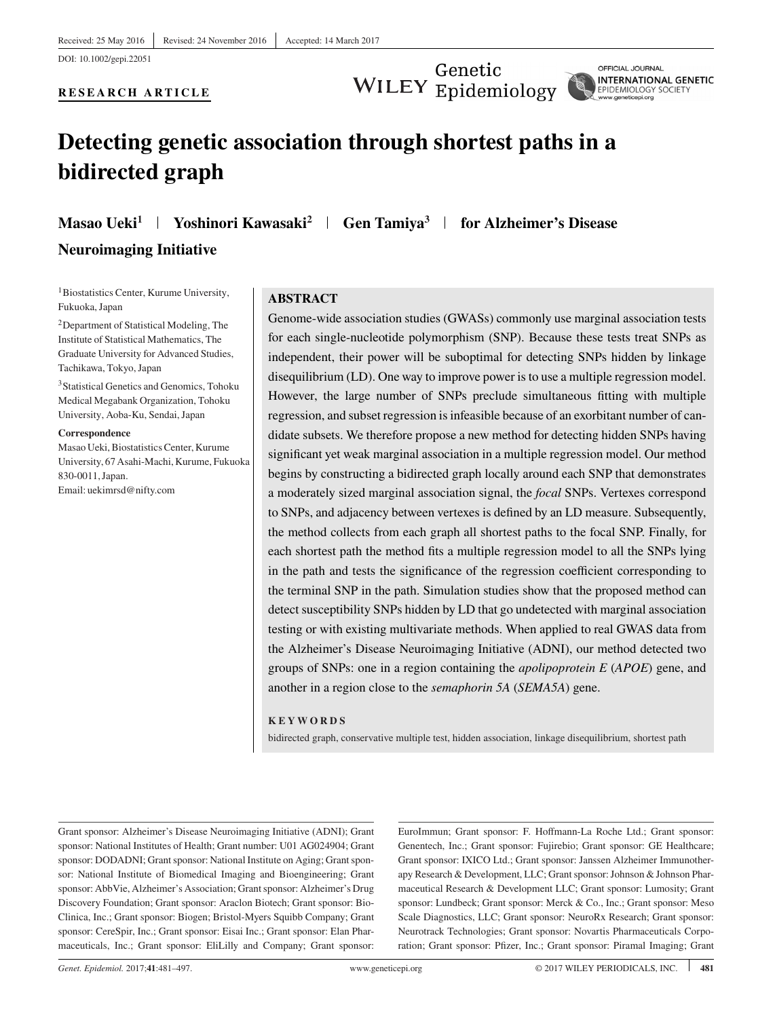DOI: 10.1002/gepi.22051

**RESEARCH ARTICLE**

Genetic<br>WILEY Epidemiology

OFFICIAL JOURNAL **INTERNATIONAL GENETIC** EPIDEMIOLOGY SOCIETY

# **Detecting genetic association through shortest paths in a bidirected graph**

**Masao Ueki<sup>1</sup> | Yoshinori Kawasaki<sup>2</sup> | Gen Tamiya<sup>3</sup> | for Alzheimer's Disease** 

## **Neuroimaging Initiative**

<sup>1</sup>Biostatistics Center, Kurume University, Fukuoka, Japan

2Department of Statistical Modeling, The Institute of Statistical Mathematics, The Graduate University for Advanced Studies, Tachikawa, Tokyo, Japan

<sup>3</sup> Statistical Genetics and Genomics, Tohoku Medical Megabank Organization, Tohoku University, Aoba-Ku, Sendai, Japan

#### **Correspondence**

Masao Ueki, Biostatistics Center, Kurume University, 67 Asahi-Machi, Kurume, Fukuoka 830-0011, Japan. Email: uekimrsd@nifty.com

#### **ABSTRACT**

Genome-wide association studies (GWASs) commonly use marginal association tests for each single-nucleotide polymorphism (SNP). Because these tests treat SNPs as independent, their power will be suboptimal for detecting SNPs hidden by linkage disequilibrium (LD). One way to improve power is to use a multiple regression model. However, the large number of SNPs preclude simultaneous fitting with multiple regression, and subset regression is infeasible because of an exorbitant number of candidate subsets. We therefore propose a new method for detecting hidden SNPs having significant yet weak marginal association in a multiple regression model. Our method begins by constructing a bidirected graph locally around each SNP that demonstrates a moderately sized marginal association signal, the *focal* SNPs. Vertexes correspond to SNPs, and adjacency between vertexes is defined by an LD measure. Subsequently, the method collects from each graph all shortest paths to the focal SNP. Finally, for each shortest path the method fits a multiple regression model to all the SNPs lying in the path and tests the significance of the regression coefficient corresponding to the terminal SNP in the path. Simulation studies show that the proposed method can detect susceptibility SNPs hidden by LD that go undetected with marginal association testing or with existing multivariate methods. When applied to real GWAS data from the Alzheimer's Disease Neuroimaging Initiative (ADNI), our method detected two groups of SNPs: one in a region containing the *apolipoprotein E* (*APOE*) gene, and another in a region close to the *semaphorin 5A* (*SEMA5A*) gene.

#### **KEYWORDS**

bidirected graph, conservative multiple test, hidden association, linkage disequilibrium, shortest path

Grant sponsor: Alzheimer's Disease Neuroimaging Initiative (ADNI); Grant sponsor: National Institutes of Health; Grant number: U01 AG024904; Grant sponsor: DODADNI; Grant sponsor: National Institute on Aging; Grant sponsor: National Institute of Biomedical Imaging and Bioengineering; Grant sponsor: AbbVie, Alzheimer's Association; Grant sponsor: Alzheimer's Drug Discovery Foundation; Grant sponsor: Araclon Biotech; Grant sponsor: Bio-Clinica, Inc.; Grant sponsor: Biogen; Bristol-Myers Squibb Company; Grant sponsor: CereSpir, Inc.; Grant sponsor: Eisai Inc.; Grant sponsor: Elan Pharmaceuticals, Inc.; Grant sponsor: EliLilly and Company; Grant sponsor:

EuroImmun; Grant sponsor: F. Hoffmann-La Roche Ltd.; Grant sponsor: Genentech, Inc.; Grant sponsor: Fujirebio; Grant sponsor: GE Healthcare; Grant sponsor: IXICO Ltd.; Grant sponsor: Janssen Alzheimer Immunotherapy Research & Development, LLC; Grant sponsor: Johnson & Johnson Pharmaceutical Research & Development LLC; Grant sponsor: Lumosity; Grant sponsor: Lundbeck; Grant sponsor: Merck & Co., Inc.; Grant sponsor: Meso Scale Diagnostics, LLC; Grant sponsor: NeuroRx Research; Grant sponsor: Neurotrack Technologies; Grant sponsor: Novartis Pharmaceuticals Corporation; Grant sponsor: Pfizer, Inc.; Grant sponsor: Piramal Imaging; Grant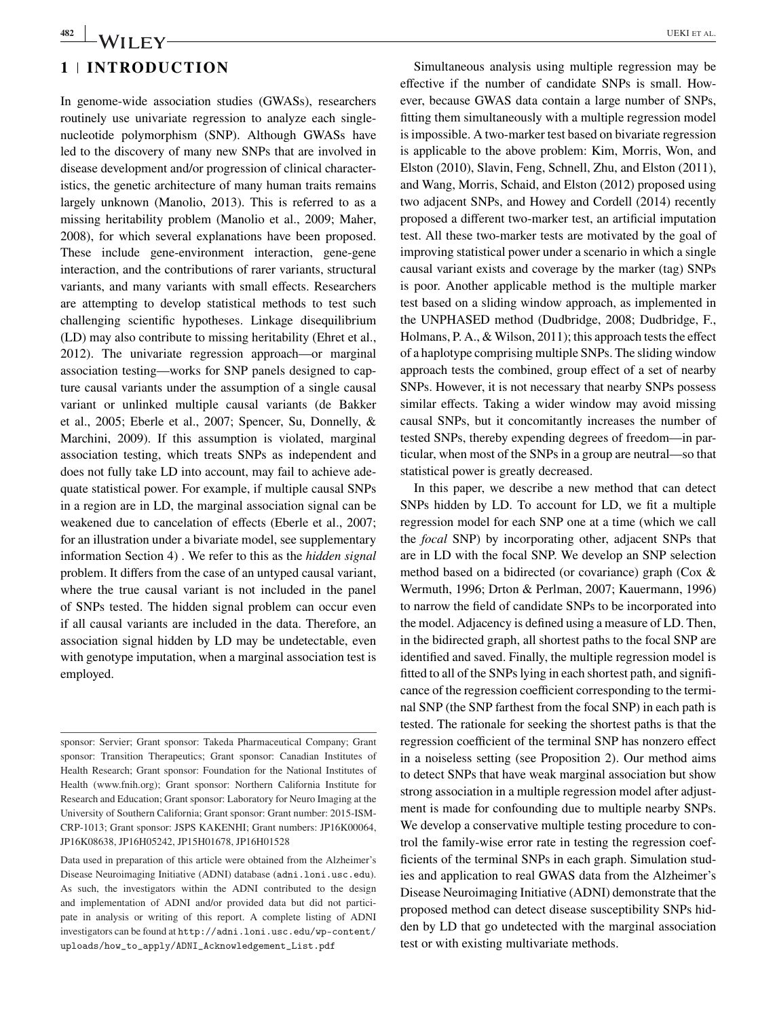## **1 INTRODUCTION**

In genome-wide association studies (GWASs), researchers routinely use univariate regression to analyze each singlenucleotide polymorphism (SNP). Although GWASs have led to the discovery of many new SNPs that are involved in disease development and/or progression of clinical characteristics, the genetic architecture of many human traits remains largely unknown (Manolio, 2013). This is referred to as a missing heritability problem (Manolio et al., 2009; Maher, 2008), for which several explanations have been proposed. These include gene-environment interaction, gene-gene interaction, and the contributions of rarer variants, structural variants, and many variants with small effects. Researchers are attempting to develop statistical methods to test such challenging scientific hypotheses. Linkage disequilibrium (LD) may also contribute to missing heritability (Ehret et al., 2012). The univariate regression approach—or marginal association testing—works for SNP panels designed to capture causal variants under the assumption of a single causal variant or unlinked multiple causal variants (de Bakker et al., 2005; Eberle et al., 2007; Spencer, Su, Donnelly, & Marchini, 2009). If this assumption is violated, marginal association testing, which treats SNPs as independent and does not fully take LD into account, may fail to achieve adequate statistical power. For example, if multiple causal SNPs in a region are in LD, the marginal association signal can be weakened due to cancelation of effects (Eberle et al., 2007; for an illustration under a bivariate model, see supplementary information Section 4) . We refer to this as the *hidden signal* problem. It differs from the case of an untyped causal variant, where the true causal variant is not included in the panel of SNPs tested. The hidden signal problem can occur even if all causal variants are included in the data. Therefore, an association signal hidden by LD may be undetectable, even with genotype imputation, when a marginal association test is employed.

Data used in preparation of this article were obtained from the Alzheimer's Disease Neuroimaging Initiative (ADNI) database (adni.loni.usc.edu). As such, the investigators within the ADNI contributed to the design and implementation of ADNI and/or provided data but did not participate in analysis or writing of this report. A complete listing of ADNI investigators can be found at [http://adni.loni.usc.edu/wp-content/](http://adni.loni.usc.edu/wp-content/uploads/how_to_apply/ADNI_Acknowledgement_List.pdf) [uploads/how\\_to\\_apply/ADNI\\_Acknowledgement\\_List.pdf](http://adni.loni.usc.edu/wp-content/uploads/how_to_apply/ADNI_Acknowledgement_List.pdf)

Simultaneous analysis using multiple regression may be effective if the number of candidate SNPs is small. However, because GWAS data contain a large number of SNPs, fitting them simultaneously with a multiple regression model is impossible. A two-marker test based on bivariate regression is applicable to the above problem: Kim, Morris, Won, and Elston (2010), Slavin, Feng, Schnell, Zhu, and Elston (2011), and Wang, Morris, Schaid, and Elston (2012) proposed using two adjacent SNPs, and Howey and Cordell (2014) recently proposed a different two-marker test, an artificial imputation test. All these two-marker tests are motivated by the goal of improving statistical power under a scenario in which a single causal variant exists and coverage by the marker (tag) SNPs is poor. Another applicable method is the multiple marker test based on a sliding window approach, as implemented in the UNPHASED method (Dudbridge, 2008; Dudbridge, F., Holmans, P. A., & Wilson, 2011); this approach tests the effect of a haplotype comprising multiple SNPs. The sliding window approach tests the combined, group effect of a set of nearby SNPs. However, it is not necessary that nearby SNPs possess similar effects. Taking a wider window may avoid missing causal SNPs, but it concomitantly increases the number of tested SNPs, thereby expending degrees of freedom—in particular, when most of the SNPs in a group are neutral—so that statistical power is greatly decreased.

In this paper, we describe a new method that can detect SNPs hidden by LD. To account for LD, we fit a multiple regression model for each SNP one at a time (which we call the *focal* SNP) by incorporating other, adjacent SNPs that are in LD with the focal SNP. We develop an SNP selection method based on a bidirected (or covariance) graph (Cox & Wermuth, 1996; Drton & Perlman, 2007; Kauermann, 1996) to narrow the field of candidate SNPs to be incorporated into the model. Adjacency is defined using a measure of LD. Then, in the bidirected graph, all shortest paths to the focal SNP are identified and saved. Finally, the multiple regression model is fitted to all of the SNPs lying in each shortest path, and significance of the regression coefficient corresponding to the terminal SNP (the SNP farthest from the focal SNP) in each path is tested. The rationale for seeking the shortest paths is that the regression coefficient of the terminal SNP has nonzero effect in a noiseless setting (see Proposition 2). Our method aims to detect SNPs that have weak marginal association but show strong association in a multiple regression model after adjustment is made for confounding due to multiple nearby SNPs. We develop a conservative multiple testing procedure to control the family-wise error rate in testing the regression coefficients of the terminal SNPs in each graph. Simulation studies and application to real GWAS data from the Alzheimer's Disease Neuroimaging Initiative (ADNI) demonstrate that the proposed method can detect disease susceptibility SNPs hidden by LD that go undetected with the marginal association test or with existing multivariate methods.

sponsor: Servier; Grant sponsor: Takeda Pharmaceutical Company; Grant sponsor: Transition Therapeutics; Grant sponsor: Canadian Institutes of Health Research; Grant sponsor: Foundation for the National Institutes of Health [\(www.fnih.org\)](http://www.fnih.org); Grant sponsor: Northern California Institute for Research and Education; Grant sponsor: Laboratory for Neuro Imaging at the University of Southern California; Grant sponsor: Grant number: 2015-ISM-CRP-1013; Grant sponsor: JSPS KAKENHI; Grant numbers: JP16K00064, JP16K08638, JP16H05242, JP15H01678, JP16H01528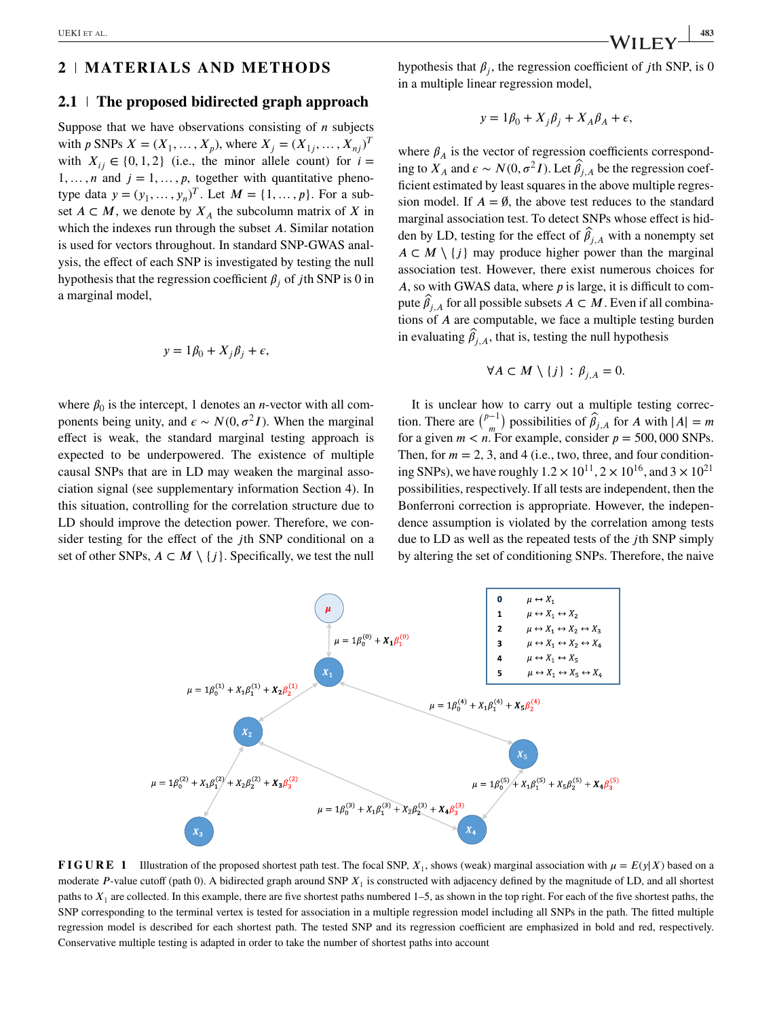## **2 MATERIALS AND METHODS**

#### **2.1 The proposed bidirected graph approach**

Suppose that we have observations consisting of  $n$  subjects with p SNPs  $X = (X_1, ..., X_p)$ , where  $X_j = (X_{1j}, ..., X_{nj})^T$ with  $X_{ii} \in \{0, 1, 2\}$  (i.e., the minor allele count) for  $i =$  $1, \ldots, n$  and  $j = 1, \ldots, p$ , together with quantitative phenotype data  $y = (y_1, ..., y_n)^T$ . Let  $M = \{1, ..., p\}$ . For a subset *A* ⊂ *M*, we denote by  $X_A$  the subcolumn matrix of *X* in which the indexes run through the subset  $A$ . Similar notation is used for vectors throughout. In standard SNP-GWAS analysis, the effect of each SNP is investigated by testing the null hypothesis that the regression coefficient  $\beta_i$  of jth SNP is 0 in a marginal model,

$$
y = 1\beta_0 + X_j \beta_j + \epsilon,
$$

where  $\beta_0$  is the intercept, 1 denotes an *n*-vector with all components being unity, and  $\epsilon \sim N(0, \sigma^2 I)$ . When the marginal effect is weak, the standard marginal testing approach is expected to be underpowered. The existence of multiple causal SNPs that are in LD may weaken the marginal association signal (see supplementary information Section 4). In this situation, controlling for the correlation structure due to LD should improve the detection power. Therefore, we consider testing for the effect of the *j*th SNP conditional on a set of other SNPs,  $A \subset M \setminus \{j\}$ . Specifically, we test the null hypothesis that  $\beta_i$ , the regression coefficient of jth SNP, is 0 in a multiple linear regression model,

$$
y = 1\beta_0 + X_j \beta_j + X_A \beta_A + \epsilon,
$$

where  $\beta_A$  is the vector of regression coefficients corresponding to  $X_A$  and  $\epsilon \sim N(0, \sigma^2 I)$ . Let  $\hat{\beta}_{j,A}$  be the regression coefficient estimated by least squares in the above multiple regression model. If  $A = \emptyset$ , the above test reduces to the standard marginal association test. To detect SNPs whose effect is hidden by LD, testing for the effect of  $\hat{\beta}_{j,A}$  with a nonempty set  $A \subset M \setminus \{j\}$  may produce higher power than the marginal association test. However, there exist numerous choices for A, so with GWAS data, where  $p$  is large, it is difficult to compute  $\widehat{\beta}_{j,A}$  for all possible subsets  $A \subset M$ . Even if all combinations of  $A$  are computable, we face a multiple testing burden in evaluating  $\hat{\beta}_{j,A}$ , that is, testing the null hypothesis

$$
\forall A \subset M \setminus \{j\} : \beta_{j,A} = 0.
$$

It is unclear how to carry out a multiple testing correction. There are  $\binom{p-1}{m}$  possibilities of  $\hat{\beta}_{j,A}$  for A with  $|A| = m$ for a given  $m < n$ . For example, consider  $p = 500,000$  SNPs. Then, for  $m = 2, 3$ , and 4 (i.e., two, three, and four conditioning SNPs), we have roughly  $1.2 \times 10^{11}$ ,  $2 \times 10^{16}$ , and  $3 \times 10^{21}$ possibilities, respectively. If all tests are independent, then the Bonferroni correction is appropriate. However, the independence assumption is violated by the correlation among tests due to LD as well as the repeated tests of the  $j$ th SNP simply by altering the set of conditioning SNPs. Therefore, the naive



**FIGURE 1** Illustration of the proposed shortest path test. The focal SNP,  $X_1$ , shows (weak) marginal association with  $\mu = E(y|X)$  based on a moderate *P*-value cutoff (path 0). A bidirected graph around SNP  $X_1$  is constructed with adjacency defined by the magnitude of LD, and all shortest paths to  $X_1$  are collected. In this example, there are five shortest paths numbered 1–5, as shown in the top right. For each of the five shortest paths, the SNP corresponding to the terminal vertex is tested for association in a multiple regression model including all SNPs in the path. The fitted multiple regression model is described for each shortest path. The tested SNP and its regression coefficient are emphasized in bold and red, respectively. Conservative multiple testing is adapted in order to take the number of shortest paths into account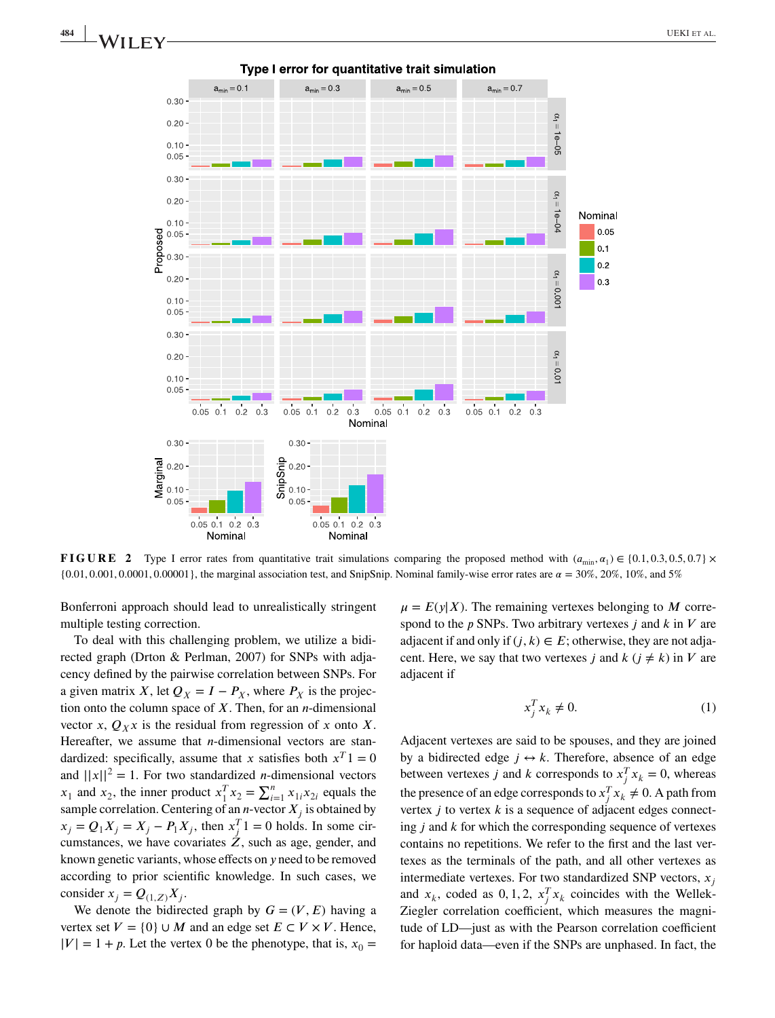

**FIGURE 2** Type I error rates from quantitative trait simulations comparing the proposed method with  $(a_{\min}, a_1) \in \{0.1, 0.3, 0.5, 0.7\} \times$  ${0.01, 0.001, 0.0001, 0.00001}$ , the marginal association test, and SnipSnip. Nominal family-wise error rates are  $\alpha = 30\%$ , 20%, 10%, and 5%

Bonferroni approach should lead to unrealistically stringent multiple testing correction.

To deal with this challenging problem, we utilize a bidirected graph (Drton & Perlman, 2007) for SNPs with adjacency defined by the pairwise correlation between SNPs. For a given matrix X, let  $Q_X = I - P_X$ , where  $P_X$  is the projection onto the column space of  $X$ . Then, for an  $n$ -dimensional vector x,  $Q_X x$  is the residual from regression of x onto X. Hereafter, we assume that  $n$ -dimensional vectors are standardized: specifically, assume that x satisfies both  $x^T 1 = 0$ and  $||x||^2 = 1$ . For two standardized *n*-dimensional vectors  $x_1$  and  $x_2$ , the inner product  $x_1^T x_2 = \sum_{i=1}^n x_{1i} x_{2i}$  equals the sample correlation. Centering of an *n*-vector  $X_i$  is obtained by  $x_j = Q_1 X_j = X_j - P_1 X_j$ , then  $x_j^T 1 = 0$  holds. In some circumstances, we have covariates  $Z$ , such as age, gender, and known genetic variants, whose effects on  $y$  need to be removed according to prior scientific knowledge. In such cases, we consider  $x_i = Q_{(1,Z)}X_i$ .

We denote the bidirected graph by  $G = (V, E)$  having a vertex set  $V = \{0\} \cup M$  and an edge set  $E \subset V \times V$ . Hence,  $|V| = 1 + p$ . Let the vertex 0 be the phenotype, that is,  $x_0 =$ 

 $\mu = E(y|X)$ . The remaining vertexes belonging to M correspond to the  $p$  SNPs. Two arbitrary vertexes  $j$  and  $k$  in  $V$  are adjacent if and only if  $(j, k) \in E$ ; otherwise, they are not adjacent. Here, we say that two vertexes *i* and  $k$  ( $i \neq k$ ) in *V* are adjacent if

$$
x_j^T x_k \neq 0. \tag{1}
$$

Adjacent vertexes are said to be spouses, and they are joined by a bidirected edge  $j \leftrightarrow k$ . Therefore, absence of an edge between vertexes *j* and *k* corresponds to  $x_j^T x_k = 0$ , whereas the presence of an edge corresponds to  $x_j^T x_k \neq 0$ . A path from vertex  $i$  to vertex  $k$  is a sequence of adjacent edges connecting  $j$  and  $k$  for which the corresponding sequence of vertexes contains no repetitions. We refer to the first and the last vertexes as the terminals of the path, and all other vertexes as intermediate vertexes. For two standardized SNP vectors,  $x_i$ and  $x_k$ , coded as 0, 1, 2,  $x_j^T x_k$  coincides with the Wellek-Ziegler correlation coefficient, which measures the magnitude of LD—just as with the Pearson correlation coefficient for haploid data—even if the SNPs are unphased. In fact, the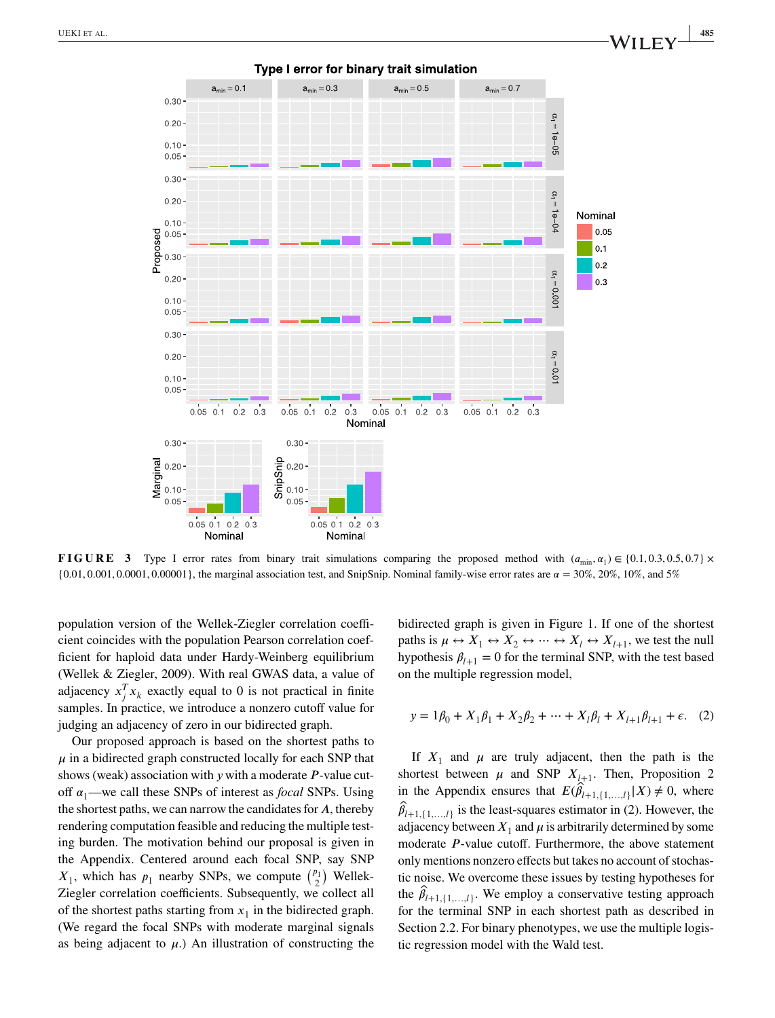

**FIGURE 3** Type I error rates from binary trait simulations comparing the proposed method with  $(a_{\min}, a_1) \in \{0.1, 0.3, 0.5, 0.7\} \times$  $\{0.01, 0.001, 0.0001, 0.00001\}$ , the marginal association test, and SnipSnip. Nominal family-wise error rates are  $\alpha = 30\%$ , 20%, 10%, and 5%

population version of the Wellek-Ziegler correlation coefficient coincides with the population Pearson correlation coefficient for haploid data under Hardy-Weinberg equilibrium (Wellek & Ziegler, 2009). With real GWAS data, a value of adjacency  $x_j^T x_k$  exactly equal to 0 is not practical in finite samples. In practice, we introduce a nonzero cutoff value for judging an adjacency of zero in our bidirected graph.

Our proposed approach is based on the shortest paths to  $\mu$  in a bidirected graph constructed locally for each SNP that shows (weak) association with  $y$  with a moderate  $P$ -value cutoff  $\alpha_1$ —we call these SNPs of interest as *focal* SNPs. Using the shortest paths, we can narrow the candidates for  $A$ , thereby rendering computation feasible and reducing the multiple testing burden. The motivation behind our proposal is given in the Appendix. Centered around each focal SNP, say SNP  $X_1$ , which has  $p_1$  nearby SNPs, we compute  $\binom{p_1}{2}$  Wellek-Ziegler correlation coefficients. Subsequently, we collect all of the shortest paths starting from  $x_1$  in the bidirected graph. (We regard the focal SNPs with moderate marginal signals as being adjacent to  $\mu$ .) An illustration of constructing the bidirected graph is given in Figure 1. If one of the shortest paths is  $\mu \leftrightarrow X_1 \leftrightarrow X_2 \leftrightarrow \cdots \leftrightarrow X_l \leftrightarrow X_{l+1}$ , we test the null hypothesis  $\beta_{l+1} = 0$  for the terminal SNP, with the test based on the multiple regression model,

$$
y = 1\beta_0 + X_1\beta_1 + X_2\beta_2 + \dots + X_l\beta_l + X_{l+1}\beta_{l+1} + \epsilon. \quad (2)
$$

If  $X_1$  and  $\mu$  are truly adjacent, then the path is the shortest between  $\mu$  and SNP  $X_{l+1}$ . Then, Proposition 2 in the Appendix ensures that  $E(\hat{\beta}_{l+1,\{1,\ldots,l\}}|X) \neq 0$ , where  $\hat{\beta}_{l+1,\{1,\ldots,l\}}$  is the least-squares estimator in (2). However, the adjacency between  $X_1$  and  $\mu$  is arbitrarily determined by some moderate  $P$ -value cutoff. Furthermore, the above statement only mentions nonzero effects but takes no account of stochastic noise. We overcome these issues by testing hypotheses for the  $\hat{\beta}_{l+1,\{1,\ldots,l\}}$ . We employ a conservative testing approach for the terminal SNP in each shortest path as described in Section 2.2. For binary phenotypes, we use the multiple logistic regression model with the Wald test.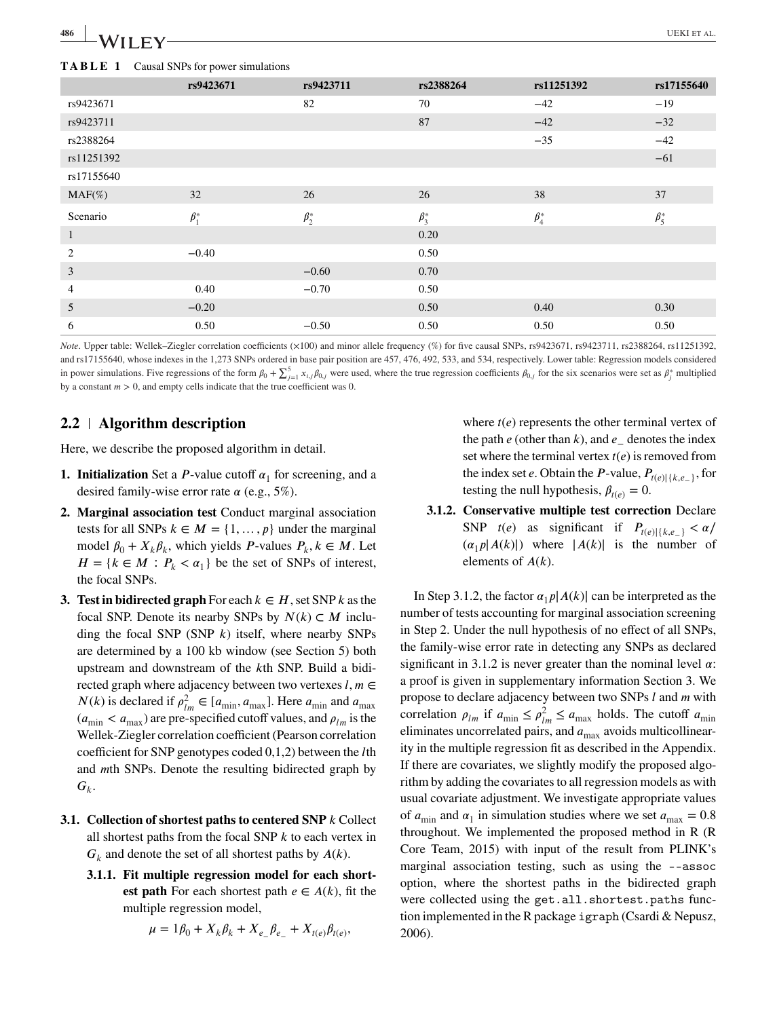| $\frac{486}{100}$ WILEY- |                                                  | <b>UEKI ET AL.</b> |
|--------------------------|--------------------------------------------------|--------------------|
|                          | <b>TABLE 1</b> Causal SNPs for power simulations |                    |

|            | rs9423671   | rs9423711   | rs2388264   | rs11251392  | rs17155640  |
|------------|-------------|-------------|-------------|-------------|-------------|
| rs9423671  |             | 82          | 70          | $-42$       | $-19$       |
| rs9423711  |             |             | 87          | $-42$       | $-32$       |
| rs2388264  |             |             |             | $-35$       | $-42$       |
| rs11251392 |             |             |             |             | $-61$       |
| rs17155640 |             |             |             |             |             |
| $MAF(\%)$  | 32          | 26          | 26          | 38          | 37          |
| Scenario   | $\beta_1^*$ | $\beta_2^*$ | $\beta_3^*$ | $\beta_4^*$ | $\beta_5^*$ |
| 1          |             |             | 0.20        |             |             |
| 2          | $-0.40$     |             | 0.50        |             |             |
| 3          |             | $-0.60$     | 0.70        |             |             |
| 4          | 0.40        | $-0.70$     | 0.50        |             |             |
| 5          | $-0.20$     |             | 0.50        | 0.40        | 0.30        |
| 6          | 0.50        | $-0.50$     | 0.50        | 0.50        | 0.50        |

*Note*. Upper table: Wellek–Ziegler correlation coefficients (×100) and minor allele frequency (%) for five causal SNPs, rs9423671, rs9423711, rs2388264, rs11251392, and rs17155640, whose indexes in the 1,273 SNPs ordered in base pair position are 457, 476, 492, 533, and 534, respectively. Lower table: Regression models considered in power simulations. Five regressions of the form  $\beta_0 + \sum_{j=1}^{5} x_{i,j} \beta_{0,j}$  were used, where the true regression coefficients  $\beta_{0,j}$  for the six scenarios were set as  $\beta_j^*$  multiplied by a constant  $m > 0$ , and empty cells indicate that the true coefficient was 0.

## **2.2 Algorithm description**

Here, we describe the proposed algorithm in detail.

- **1. Initialization** Set a *P*-value cutoff  $\alpha_1$  for screening, and a desired family-wise error rate  $\alpha$  (e.g., 5%).
- **2. Marginal association test** Conduct marginal association tests for all SNPs  $k \in M = \{1, ..., p\}$  under the marginal model  $\beta_0 + X_k \beta_k$ , which yields *P*-values  $P_k, k \in M$ . Let  $H = \{ k \in M : P_k < \alpha_1 \}$  be the set of SNPs of interest, the focal SNPs.
- **3. Test in bidirected graph** For each  $k \in H$ , set SNP  $k$  as the focal SNP. Denote its nearby SNPs by  $N(k) \subset M$  including the focal SNP (SNP  $k$ ) itself, where nearby SNPs are determined by a 100 kb window (see Section 5) both upstream and downstream of the th SNP. Build a bidirected graph where adjacency between two vertexes  $l, m \in$  $N(k)$  is declared if  $\rho_{lm}^2 \in [a_{\min}, a_{\max}]$ . Here  $a_{\min}$  and  $a_{\max}$  $(a_{\text{min}} < a_{\text{max}})$  are pre-specified cutoff values, and  $\rho_{lm}$  is the Wellek-Ziegler correlation coefficient (Pearson correlation coefficient for SNP genotypes coded  $(0,1,2)$  between the *l*th and *mth* SNPs. Denote the resulting bidirected graph by  $G_k$ .
- **3.1. Collection of shortest paths to centered SNP**  $k$  Collect all shortest paths from the focal SNP  $k$  to each vertex in  $G_k$  and denote the set of all shortest paths by  $A(k)$ .
	- **3.1.1. Fit multiple regression model for each shortest path** For each shortest path  $e \in A(k)$ , fit the multiple regression model,

$$
\mu = 1\beta_0 + X_k \beta_k + X_{e_-} \beta_{e_-} + X_{t(e)} \beta_{t(e)},
$$

where  $t(e)$  represents the other terminal vertex of the path  $e$  (other than  $k$ ), and  $e_{-}$  denotes the index set where the terminal vertex  $t(e)$  is removed from the index set *e*. Obtain the *P*-value,  $P_{t(e)|\{k,e_-\}}$ , for testing the null hypothesis,  $\beta_{t(e)} = 0$ .

**3.1.2. Conservative multiple test correction** Declare SNP  $t(e)$  as significant if  $P_{t(e)|\{k,e_-\}} < \alpha/$  $(\alpha_1 p|A(k)|)$  where  $|A(k)|$  is the number of elements of  $A(k)$ .

In Step 3.1.2, the factor  $\alpha_1 p|A(k)|$  can be interpreted as the number of tests accounting for marginal association screening in Step 2. Under the null hypothesis of no effect of all SNPs, the family-wise error rate in detecting any SNPs as declared significant in 3.1.2 is never greater than the nominal level  $\alpha$ : a proof is given in supplementary information Section 3. We propose to declare adjacency between two SNPs  $l$  and  $m$  with correlation  $\rho_{lm}$  if  $a_{\min} \leq \rho_{lm}^2 \leq a_{\max}$  holds. The cutoff  $a_{\min}$ eliminates uncorrelated pairs, and  $a_{\text{max}}$  avoids multicollinearity in the multiple regression fit as described in the Appendix. If there are covariates, we slightly modify the proposed algorithm by adding the covariates to all regression models as with usual covariate adjustment. We investigate appropriate values of  $a_{\text{min}}$  and  $\alpha_1$  in simulation studies where we set  $a_{\text{max}} = 0.8$ throughout. We implemented the proposed method in R (R Core Team, 2015) with input of the result from PLINK's marginal association testing, such as using the ––assoc option, where the shortest paths in the bidirected graph were collected using the get.all.shortest.paths function implemented in the R package igraph (Csardi & Nepusz, 2006).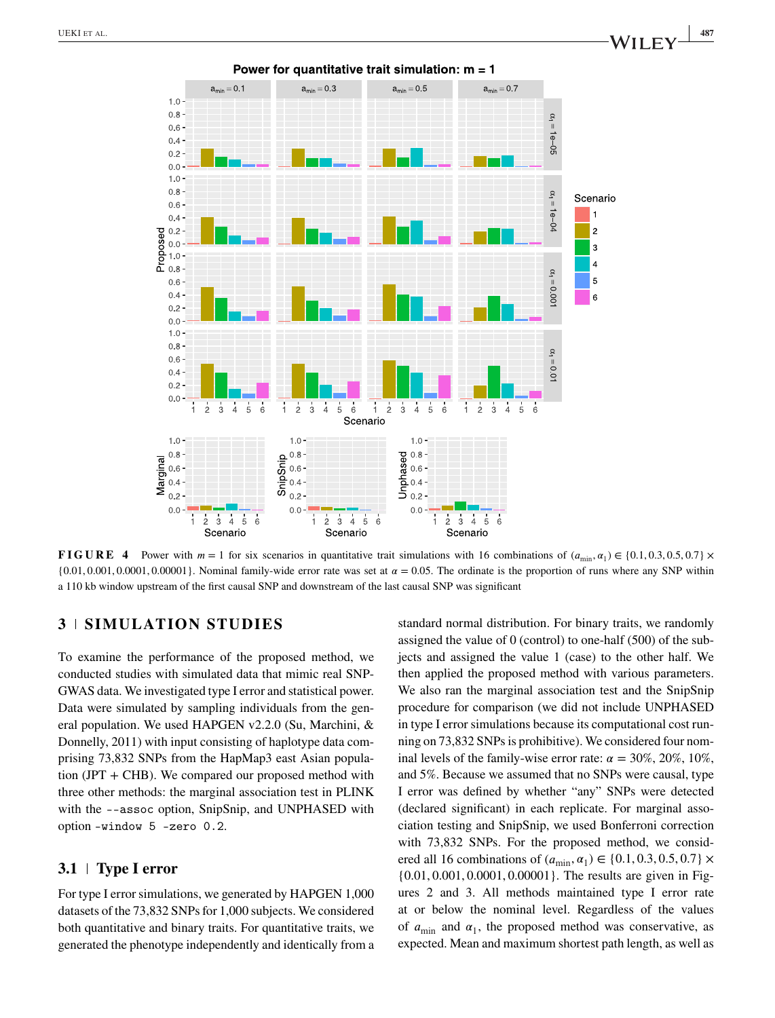

**FIGURE 4** Power with  $m = 1$  for six scenarios in quantitative trait simulations with 16 combinations of  $(a_{\min}, a_1) \in \{0.1, 0.3, 0.5, 0.7\} \times$  $\{0.01, 0.001, 0.0001, 0.00001\}$ . Nominal family-wide error rate was set at  $\alpha = 0.05$ . The ordinate is the proportion of runs where any SNP within a 110 kb window upstream of the first causal SNP and downstream of the last causal SNP was significant

## **3 SIMULATION STUDIES**

To examine the performance of the proposed method, we conducted studies with simulated data that mimic real SNP-GWAS data. We investigated type I error and statistical power. Data were simulated by sampling individuals from the general population. We used HAPGEN v2.2.0 (Su, Marchini, & Donnelly, 2011) with input consisting of haplotype data comprising 73,832 SNPs from the HapMap3 east Asian population (JPT + CHB). We compared our proposed method with three other methods: the marginal association test in PLINK with the ––assoc option, SnipSnip, and UNPHASED with option -window 5 -zero 0.2.

## **3.1 Type I error**

For type I error simulations, we generated by HAPGEN 1,000 datasets of the 73,832 SNPs for 1,000 subjects. We considered both quantitative and binary traits. For quantitative traits, we generated the phenotype independently and identically from a standard normal distribution. For binary traits, we randomly assigned the value of 0 (control) to one-half (500) of the subjects and assigned the value 1 (case) to the other half. We then applied the proposed method with various parameters. We also ran the marginal association test and the SnipSnip procedure for comparison (we did not include UNPHASED in type I error simulations because its computational cost running on 73,832 SNPs is prohibitive). We considered four nominal levels of the family-wise error rate:  $\alpha = 30\%$ , 20%, 10%, and 5%. Because we assumed that no SNPs were causal, type I error was defined by whether "any" SNPs were detected (declared significant) in each replicate. For marginal association testing and SnipSnip, we used Bonferroni correction with 73,832 SNPs. For the proposed method, we considered all 16 combinations of  $(a_{\min}, a_1) \in \{0.1, 0.3, 0.5, 0.7\} \times$ {0*.*01*,* 0*.*001*,* 0*.*0001*,* 0*.*00001}. The results are given in Figures 2 and 3. All methods maintained type I error rate at or below the nominal level. Regardless of the values of  $a_{\min}$  and  $\alpha_1$ , the proposed method was conservative, as expected. Mean and maximum shortest path length, as well as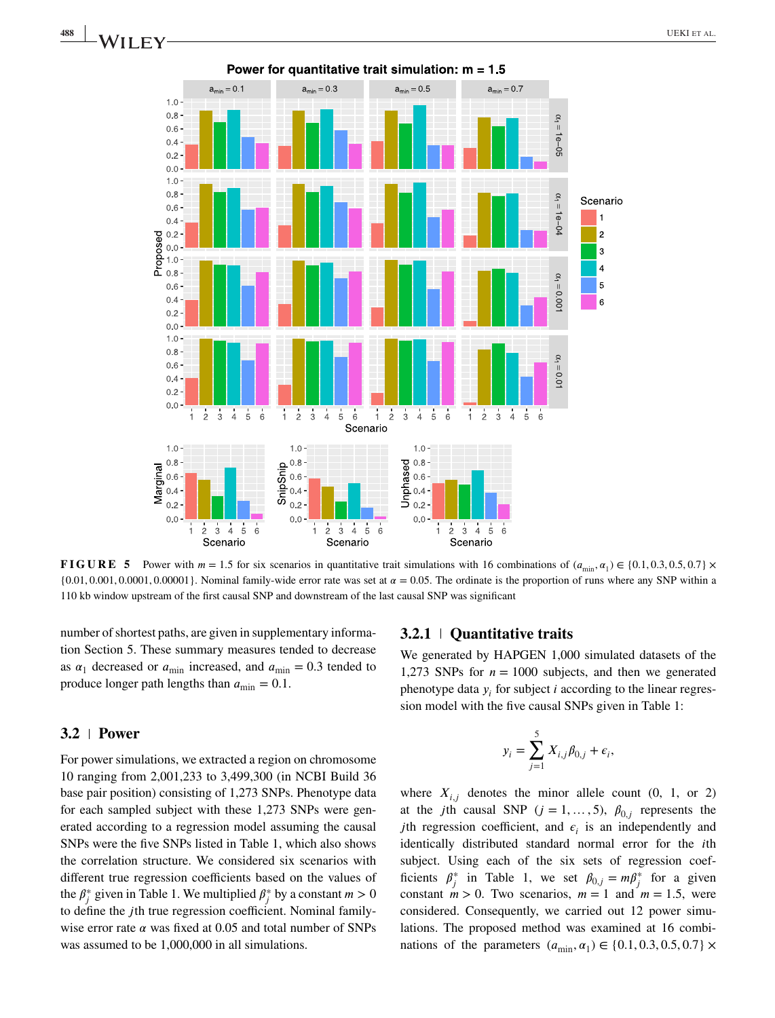

**FIGURE 5** Power with  $m = 1.5$  for six scenarios in quantitative trait simulations with 16 combinations of  $(a_{\min}, a_1) \in \{0.1, 0.3, 0.5, 0.7\} \times$  ${0.01, 0.001, 0.00001}$ . Nominal family-wide error rate was set at  $\alpha = 0.05$ . The ordinate is the proportion of runs where any SNP within a 110 kb window upstream of the first causal SNP and downstream of the last causal SNP was significant

number of shortest paths, are given in supplementary information Section 5. These summary measures tended to decrease as  $\alpha_1$  decreased or  $a_{\text{min}}$  increased, and  $a_{\text{min}} = 0.3$  tended to produce longer path lengths than  $a_{\text{min}} = 0.1$ .

#### **3.2 Power**

For power simulations, we extracted a region on chromosome 10 ranging from 2,001,233 to 3,499,300 (in NCBI Build 36 base pair position) consisting of 1,273 SNPs. Phenotype data for each sampled subject with these 1,273 SNPs were generated according to a regression model assuming the causal SNPs were the five SNPs listed in Table 1, which also shows the correlation structure. We considered six scenarios with different true regression coefficients based on the values of the  $\beta_j^*$  given in Table 1. We multiplied  $\beta_j^*$  by a constant  $m > 0$ to define the *j*th true regression coefficient. Nominal familywise error rate  $\alpha$  was fixed at 0.05 and total number of SNPs was assumed to be 1,000,000 in all simulations.

#### **3.2.1 Quantitative traits**

We generated by HAPGEN 1,000 simulated datasets of the 1,273 SNPs for  $n = 1000$  subjects, and then we generated phenotype data  $y_i$  for subject *i* according to the linear regression model with the five causal SNPs given in Table 1:

$$
y_i = \sum_{j=1}^5 X_{i,j} \beta_{0,j} + \epsilon_i,
$$

where  $X_{i,j}$  denotes the minor allele count  $(0, 1, \text{or } 2)$ at the *j*th causal SNP ( $j = 1, ..., 5$ ),  $\beta_{0,j}$  represents the *j*th regression coefficient, and  $\epsilon_i$  is an independently and identically distributed standard normal error for the *i*th subject. Using each of the six sets of regression coefficients  $\beta_j^*$  in Table 1, we set  $\beta_{0,j} = m\beta_j^*$  for a given constant  $m > 0$ . Two scenarios,  $m = 1$  and  $m = 1.5$ , were considered. Consequently, we carried out 12 power simulations. The proposed method was examined at 16 combinations of the parameters  $(a_{\min}, a_1) \in \{0.1, 0.3, 0.5, 0.7\} \times$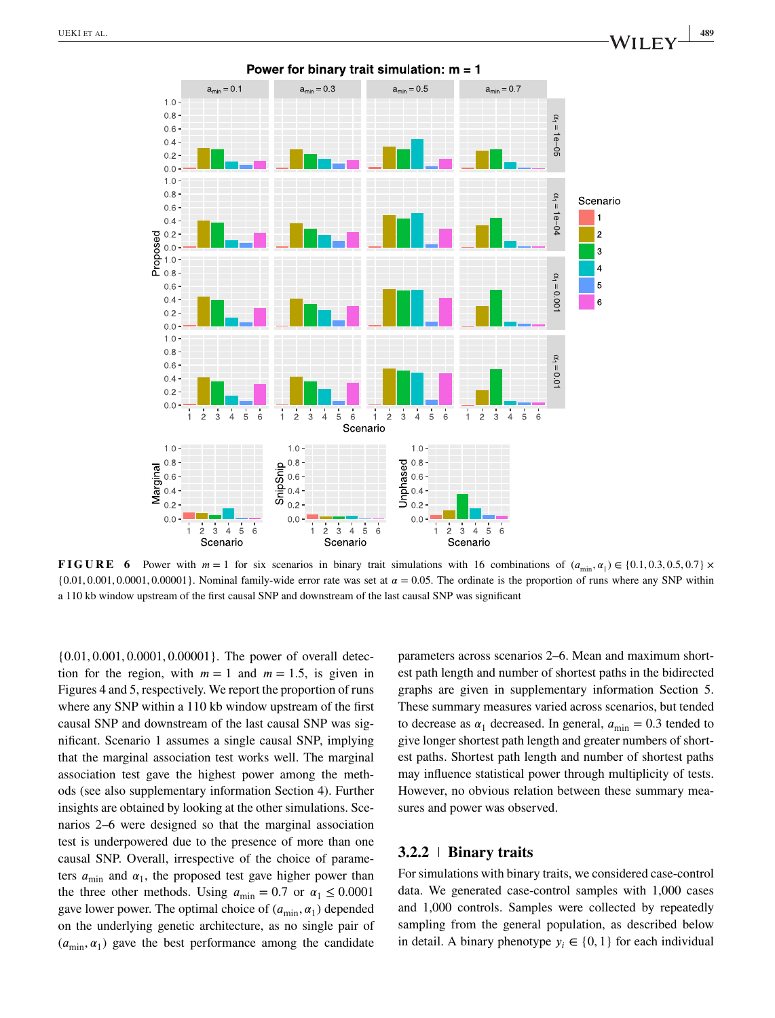

**FIGURE 6** Power with  $m = 1$  for six scenarios in binary trait simulations with 16 combinations of  $(a_{\min}, a_1) \in \{0.1, 0.3, 0.5, 0.7\} \times$  ${0.01, 0.001, 0.0001, 0.00001}$ . Nominal family-wide error rate was set at  $\alpha = 0.05$ . The ordinate is the proportion of runs where any SNP within a 110 kb window upstream of the first causal SNP and downstream of the last causal SNP was significant

{0*.*01*,* 0*.*001*,* 0*.*0001*,* 0*.*00001}. The power of overall detection for the region, with  $m = 1$  and  $m = 1.5$ , is given in Figures 4 and 5, respectively. We report the proportion of runs where any SNP within a 110 kb window upstream of the first causal SNP and downstream of the last causal SNP was significant. Scenario 1 assumes a single causal SNP, implying that the marginal association test works well. The marginal association test gave the highest power among the methods (see also supplementary information Section 4). Further insights are obtained by looking at the other simulations. Scenarios 2–6 were designed so that the marginal association test is underpowered due to the presence of more than one causal SNP. Overall, irrespective of the choice of parameters  $a_{\min}$  and  $\alpha_1$ , the proposed test gave higher power than the three other methods. Using  $a_{\min} = 0.7$  or  $\alpha_1 \le 0.0001$ gave lower power. The optimal choice of  $(a_{\min}, \alpha_1)$  depended on the underlying genetic architecture, as no single pair of  $(a_{\min}, a_1)$  gave the best performance among the candidate parameters across scenarios 2–6. Mean and maximum shortest path length and number of shortest paths in the bidirected graphs are given in supplementary information Section 5. These summary measures varied across scenarios, but tended to decrease as  $\alpha_1$  decreased. In general,  $a_{\text{min}} = 0.3$  tended to give longer shortest path length and greater numbers of shortest paths. Shortest path length and number of shortest paths may influence statistical power through multiplicity of tests. However, no obvious relation between these summary measures and power was observed.

## **3.2.2 Binary traits**

For simulations with binary traits, we considered case-control data. We generated case-control samples with 1,000 cases and 1,000 controls. Samples were collected by repeatedly sampling from the general population, as described below in detail. A binary phenotype  $y_i \in \{0, 1\}$  for each individual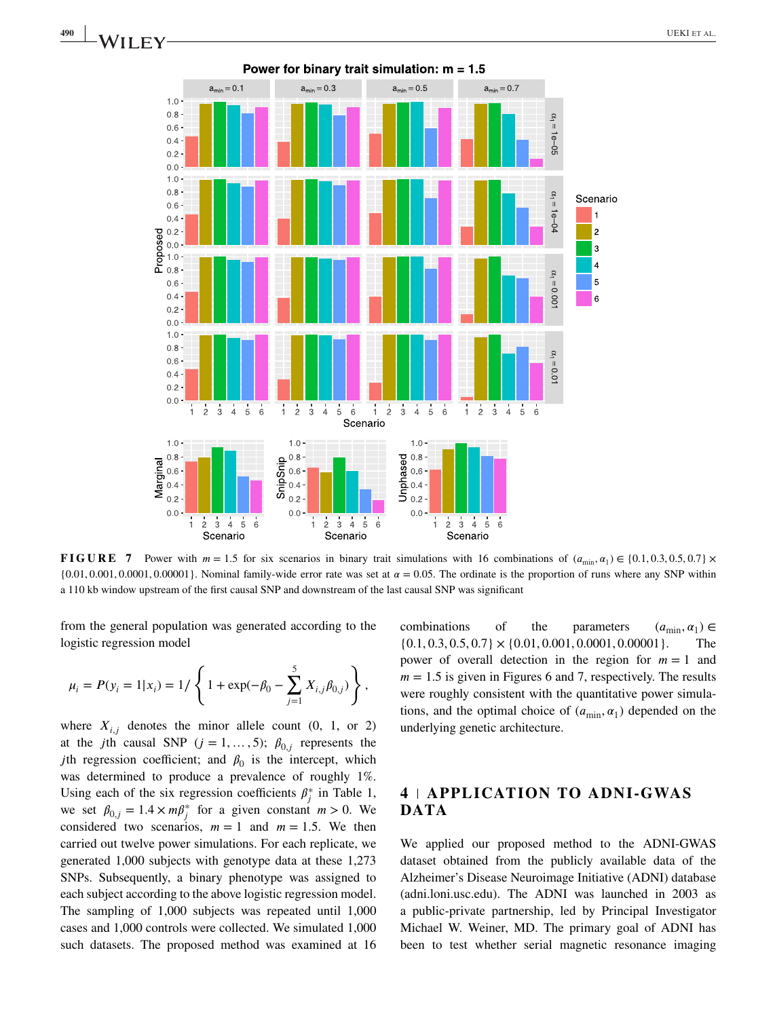

**FIGURE 7** Power with  $m = 1.5$  for six scenarios in binary trait simulations with 16 combinations of  $(a_{\min}, a_1) \in \{0.1, 0.3, 0.5, 0.7\} \times$  ${0.01, 0.001, 0.0001, 0.00001}$ . Nominal family-wide error rate was set at  $\alpha = 0.05$ . The ordinate is the proportion of runs where any SNP within a 110 kb window upstream of the first causal SNP and downstream of the last causal SNP was significant

from the general population was generated according to the logistic regression model

$$
\mu_i = P(y_i = 1 | x_i) = 1 / \left\{ 1 + \exp(-\beta_0 - \sum_{j=1}^5 X_{i,j} \beta_{0,j}) \right\},\,
$$

where  $X_{i,j}$  denotes the minor allele count  $(0, 1, 0r)$ at the *j*th causal SNP ( $j = 1, ..., 5$ );  $\beta_{0,j}$  represents the *j*th regression coefficient; and  $\beta_0$  is the intercept, which was determined to produce a prevalence of roughly 1%. Using each of the six regression coefficients  $\beta_j^*$  in Table 1, we set  $\beta_{0,j} = 1.4 \times m\beta_j^*$  for a given constant  $m > 0$ . We considered two scenarios,  $m = 1$  and  $m = 1.5$ . We then carried out twelve power simulations. For each replicate, we generated 1,000 subjects with genotype data at these 1,273 SNPs. Subsequently, a binary phenotype was assigned to each subject according to the above logistic regression model. The sampling of 1,000 subjects was repeated until 1,000 cases and 1,000 controls were collected. We simulated 1,000 such datasets. The proposed method was examined at 16 combinations of the parameters  $(a_{\min}, a_1) \in$ {0*.*1*,* 0*.*3*,* 0*.*5*,* 0*.*7} × {0*.*01*,* 0*.*001*,* 0*.*0001*,* 0*.*00001}. The power of overall detection in the region for  $m = 1$  and  $m = 1.5$  is given in Figures 6 and 7, respectively. The results were roughly consistent with the quantitative power simulations, and the optimal choice of  $(a_{\min}, \alpha_1)$  depended on the underlying genetic architecture.

## **4 APPLICATION TO ADNI-GWAS DATA**

We applied our proposed method to the ADNI-GWAS dataset obtained from the publicly available data of the Alzheimer's Disease Neuroimage Initiative (ADNI) database [\(adni.loni.usc.edu\)](https://adni.loni.usc.edu). The ADNI was launched in 2003 as a public-private partnership, led by Principal Investigator Michael W. Weiner, MD. The primary goal of ADNI has been to test whether serial magnetic resonance imaging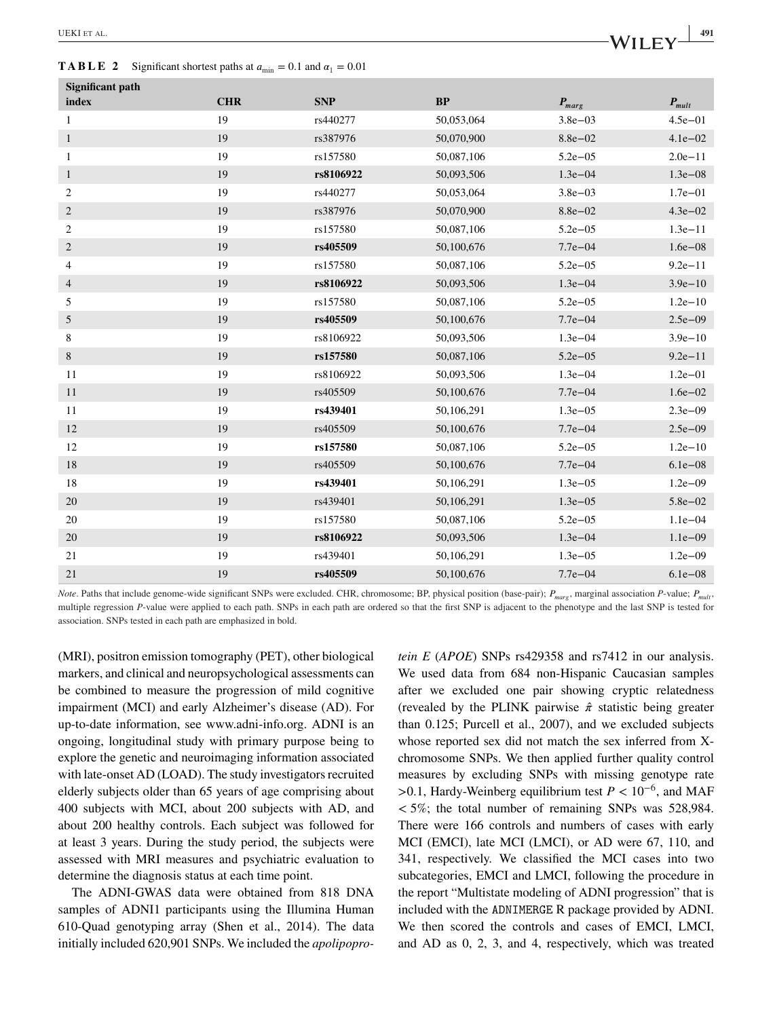#### **TABLE 2** Significant shortest paths at  $a_{\min} = 0.1$  and  $\alpha_1 = 0.01$

| Significant path |            |            |            |              |             |
|------------------|------------|------------|------------|--------------|-------------|
| index            | <b>CHR</b> | <b>SNP</b> | <b>BP</b>  | $P_{marg}$   | $P_{mult}$  |
| $\mathbf{1}$     | 19         | rs440277   | 50,053,064 | $3.8e - 03$  | $4.5e - 01$ |
| $\mathbf{1}$     | 19         | rs387976   | 50,070,900 | $8.8e - 02$  | $4.1e - 02$ |
| $\mathbf{1}$     | 19         | rs157580   | 50,087,106 | $5.2e - 0.5$ | $2.0e-11$   |
| $\mathbf{1}$     | 19         | rs8106922  | 50,093,506 | $1.3e - 04$  | $1.3e - 08$ |
| $\overline{2}$   | 19         | rs440277   | 50,053,064 | $3.8e - 03$  | $1.7e - 01$ |
| 2                | 19         | rs387976   | 50,070,900 | $8.8e - 02$  | $4.3e - 02$ |
| 2                | 19         | rs157580   | 50,087,106 | $5.2e - 05$  | $1.3e-11$   |
| 2                | 19         | rs405509   | 50,100,676 | $7.7e - 04$  | $1.6e - 08$ |
| $\overline{4}$   | 19         | rs157580   | 50,087,106 | $5.2e - 0.5$ | $9.2e - 11$ |
| $\overline{4}$   | 19         | rs8106922  | 50,093,506 | $1.3e - 04$  | $3.9e - 10$ |
| 5                | 19         | rs157580   | 50,087,106 | $5.2e - 05$  | $1.2e-10$   |
| 5                | 19         | rs405509   | 50,100,676 | $7.7e - 04$  | $2.5e - 09$ |
| 8                | 19         | rs8106922  | 50,093,506 | $1.3e - 04$  | $3.9e - 10$ |
| 8                | 19         | rs157580   | 50,087,106 | $5.2e - 05$  | $9.2e - 11$ |
| 11               | 19         | rs8106922  | 50,093,506 | $1.3e - 04$  | $1.2e - 01$ |
| 11               | 19         | rs405509   | 50,100,676 | $7.7e - 04$  | $1.6e - 02$ |
| 11               | 19         | rs439401   | 50,106,291 | $1.3e - 0.5$ | $2.3e - 09$ |
| 12               | 19         | rs405509   | 50,100,676 | $7.7e - 04$  | $2.5e - 09$ |
| 12               | 19         | rs157580   | 50,087,106 | $5.2e - 05$  | $1.2e-10$   |
| 18               | 19         | rs405509   | 50,100,676 | $7.7e - 04$  | $6.1e - 08$ |
| 18               | 19         | rs439401   | 50,106,291 | $1.3e - 0.5$ | $1.2e - 09$ |
| 20               | 19         | rs439401   | 50,106,291 | $1.3e - 0.5$ | $5.8e - 02$ |
| 20               | 19         | rs157580   | 50,087,106 | $5.2e - 05$  | $1.1e - 04$ |
| 20               | 19         | rs8106922  | 50,093,506 | $1.3e - 04$  | $1.1e - 09$ |
| 21               | 19         | rs439401   | 50,106,291 | $1.3e - 0.5$ | $1.2e - 09$ |
| 21               | 19         | rs405509   | 50,100,676 | $7.7e - 04$  | $6.1e - 08$ |

*Note*. Paths that include genome-wide significant SNPs were excluded. CHR, chromosome; BP, physical position (base-pair);  $P_{marg}$ , marginal association *P*-value;  $P_{mul}$ . multiple regression *P*-value were applied to each path. SNPs in each path are ordered so that the first SNP is adjacent to the phenotype and the last SNP is tested for association. SNPs tested in each path are emphasized in bold.

(MRI), positron emission tomography (PET), other biological markers, and clinical and neuropsychological assessments can be combined to measure the progression of mild cognitive impairment (MCI) and early Alzheimer's disease (AD). For up-to-date information, see [www.adni-info.org.](http://www.adni-info.org) ADNI is an ongoing, longitudinal study with primary purpose being to explore the genetic and neuroimaging information associated with late-onset AD (LOAD). The study investigators recruited elderly subjects older than 65 years of age comprising about 400 subjects with MCI, about 200 subjects with AD, and about 200 healthy controls. Each subject was followed for at least 3 years. During the study period, the subjects were assessed with MRI measures and psychiatric evaluation to determine the diagnosis status at each time point.

The ADNI-GWAS data were obtained from 818 DNA samples of ADNI1 participants using the Illumina Human 610-Quad genotyping array (Shen et al., 2014). The data initially included 620,901 SNPs. We included the *apolipopro-* *tein E* (*APOE*) SNPs rs429358 and rs7412 in our analysis. We used data from 684 non-Hispanic Caucasian samples after we excluded one pair showing cryptic relatedness (revealed by the PLINK pairwise  $\hat{\pi}$  statistic being greater than 0.125; Purcell et al., 2007), and we excluded subjects whose reported sex did not match the sex inferred from Xchromosome SNPs. We then applied further quality control measures by excluding SNPs with missing genotype rate *>*0.1, Hardy-Weinberg equilibrium test *P <* 10−6, and MAF *<* 5%; the total number of remaining SNPs was 528,984. There were 166 controls and numbers of cases with early MCI (EMCI), late MCI (LMCI), or AD were 67, 110, and 341, respectively. We classified the MCI cases into two subcategories, EMCI and LMCI, following the procedure in the report "Multistate modeling of ADNI progression" that is included with the ADNIMERGE R package provided by ADNI. We then scored the controls and cases of EMCI, LMCI, and AD as 0, 2, 3, and 4, respectively, which was treated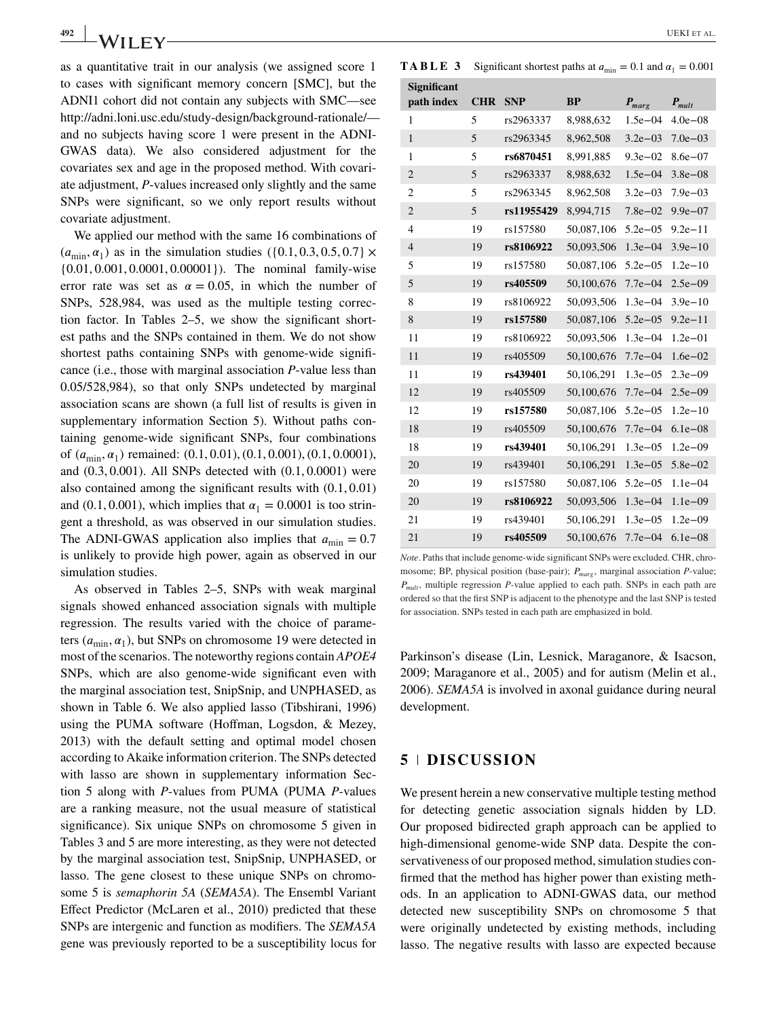as a quantitative trait in our analysis (we assigned score 1 to cases with significant memory concern [SMC], but the ADNI1 cohort did not contain any subjects with SMC—see <http://adni.loni.usc.edu/study-design/background-rationale/> and no subjects having score 1 were present in the ADNI-GWAS data). We also considered adjustment for the covariates sex and age in the proposed method. With covariate adjustment, *P*-values increased only slightly and the same SNPs were significant, so we only report results without covariate adjustment.

We applied our method with the same 16 combinations of  $(a_{\min}, \alpha_1)$  as in the simulation studies  $({0.1, 0.3, 0.5, 0.7} \times$ {0*.*01*,* 0*.*001*,* 0*.*0001*,* 0*.*00001}). The nominal family-wise error rate was set as  $\alpha = 0.05$ , in which the number of SNPs, 528,984, was used as the multiple testing correction factor. In Tables 2–5, we show the significant shortest paths and the SNPs contained in them. We do not show shortest paths containing SNPs with genome-wide significance (i.e., those with marginal association *P*-value less than 0.05/528,984), so that only SNPs undetected by marginal association scans are shown (a full list of results is given in supplementary information Section 5). Without paths containing genome-wide significant SNPs, four combinations of (min*,* 1) remained: (0*.*1*,* 0*.*01)*,* (0*.*1*,* 0*.*001)*,* (0*.*1*,* 0*.*0001), and (0*.*3*,* 0*.*001). All SNPs detected with (0*.*1*,* 0*.*0001) were also contained among the significant results with (0*.*1*,* 0*.*01) and (0.1, 0.001), which implies that  $\alpha_1 = 0.0001$  is too stringent a threshold, as was observed in our simulation studies. The ADNI-GWAS application also implies that  $a_{\text{min}} = 0.7$ is unlikely to provide high power, again as observed in our simulation studies.

As observed in Tables 2–5, SNPs with weak marginal signals showed enhanced association signals with multiple regression. The results varied with the choice of parameters  $(a_{\min}, a_1)$ , but SNPs on chromosome 19 were detected in most of the scenarios. The noteworthy regions contain *APOE4* SNPs, which are also genome-wide significant even with the marginal association test, SnipSnip, and UNPHASED, as shown in Table 6. We also applied lasso (Tibshirani, 1996) using the PUMA software (Hoffman, Logsdon, & Mezey, 2013) with the default setting and optimal model chosen according to Akaike information criterion. The SNPs detected with lasso are shown in supplementary information Section 5 along with *P*-values from PUMA (PUMA *P*-values are a ranking measure, not the usual measure of statistical significance). Six unique SNPs on chromosome 5 given in Tables 3 and 5 are more interesting, as they were not detected by the marginal association test, SnipSnip, UNPHASED, or lasso. The gene closest to these unique SNPs on chromosome 5 is *semaphorin 5A* (*SEMA5A*). The Ensembl Variant Effect Predictor (McLaren et al., 2010) predicted that these SNPs are intergenic and function as modifiers. The *SEMA5A* gene was previously reported to be a susceptibility locus for

**TABLE 3** Significant shortest paths at  $a_{\min} = 0.1$  and  $\alpha_1 = 0.001$ 

| Significant |                |            |            |            |              |             |
|-------------|----------------|------------|------------|------------|--------------|-------------|
|             | path index     | <b>CHR</b> | <b>SNP</b> | <b>BP</b>  | $P_{marg}$   | $P_{mult}$  |
|             | 1              | 5          | rs2963337  | 8,988,632  | $1.5e - 04$  | $4.0e - 08$ |
|             | $\mathbf{1}$   | 5          | rs2963345  | 8,962,508  | $3.2e - 03$  | $7.0e - 03$ |
|             | 1              | 5          | rs6870451  | 8,991,885  | $9.3e - 02$  | $8.6e - 07$ |
|             | $\mathbf{2}$   | 5          | rs2963337  | 8,988,632  | $1.5e - 04$  | $3.8e - 08$ |
|             | $\overline{2}$ | 5          | rs2963345  | 8,962,508  | $3.2e - 03$  | $7.9e - 03$ |
|             | $\overline{2}$ | 5          | rs11955429 | 8,994,715  | $7.8e - 02$  | $9.9e - 07$ |
|             | $\overline{4}$ | 19         | rs157580   | 50,087,106 | $5.2e - 0.5$ | $9.2e - 11$ |
|             | $\overline{4}$ | 19         | rs8106922  | 50,093,506 | $1.3e - 04$  | $3.9e - 10$ |
|             | 5              | 19         | rs157580   | 50,087,106 | $5.2e - 0.5$ | $1.2e - 10$ |
|             | 5              | 19         | rs405509   | 50,100,676 | $7.7e - 04$  | $2.5e - 09$ |
|             | 8              | 19         | rs8106922  | 50,093,506 | $1.3e - 04$  | $3.9e - 10$ |
|             | 8              | 19         | rs157580   | 50,087,106 | $5.2e - 05$  | $9.2e - 11$ |
|             | 11             | 19         | rs8106922  | 50,093,506 | $1.3e - 04$  | $1.2e - 01$ |
|             | 11             | 19         | rs405509   | 50,100,676 | $7.7e - 04$  | $1.6e - 02$ |
|             | 11             | 19         | rs439401   | 50,106,291 | $1.3e - 0.5$ | $2.3e - 09$ |
|             | 12             | 19         | rs405509   | 50,100,676 | $7.7e - 04$  | $2.5e - 09$ |
|             | 12             | 19         | rs157580   | 50,087,106 | $5.2e - 0.5$ | $1.2e-10$   |
|             | 18             | 19         | rs405509   | 50,100,676 | $7.7e - 04$  | $6.1e - 08$ |
|             | 18             | 19         | rs439401   | 50,106,291 | $1.3e - 0.5$ | $1.2e - 09$ |
|             | 20             | 19         | rs439401   | 50,106,291 | $1.3e - 0.5$ | $5.8e - 02$ |
|             | 20             | 19         | rs157580   | 50,087,106 | $5.2e - 05$  | $1.1e - 04$ |
|             | 20             | 19         | rs8106922  | 50,093,506 | $1.3e - 04$  | $1.1e - 09$ |
|             | 21             | 19         | rs439401   | 50,106,291 | $1.3e - 0.5$ | $1.2e - 09$ |
|             | 21             | 19         | rs405509   | 50,100,676 | $7.7e - 04$  | $6.1e - 08$ |
|             |                |            |            |            |              |             |

*Note*. Paths that include genome-wide significant SNPs were excluded. CHR, chromosome; BP, physical position (base-pair);  $P_{marg}$ , marginal association  $P$ -value;  $P_{multi}$ , multiple regression *P*-value applied to each path. SNPs in each path are ordered so that the first SNP is adjacent to the phenotype and the last SNP is tested for association. SNPs tested in each path are emphasized in bold.

Parkinson's disease (Lin, Lesnick, Maraganore, & Isacson, 2009; Maraganore et al., 2005) and for autism (Melin et al., 2006). *SEMA5A* is involved in axonal guidance during neural development.

## **5 DISCUSSION**

We present herein a new conservative multiple testing method for detecting genetic association signals hidden by LD. Our proposed bidirected graph approach can be applied to high-dimensional genome-wide SNP data. Despite the conservativeness of our proposed method, simulation studies confirmed that the method has higher power than existing methods. In an application to ADNI-GWAS data, our method detected new susceptibility SNPs on chromosome 5 that were originally undetected by existing methods, including lasso. The negative results with lasso are expected because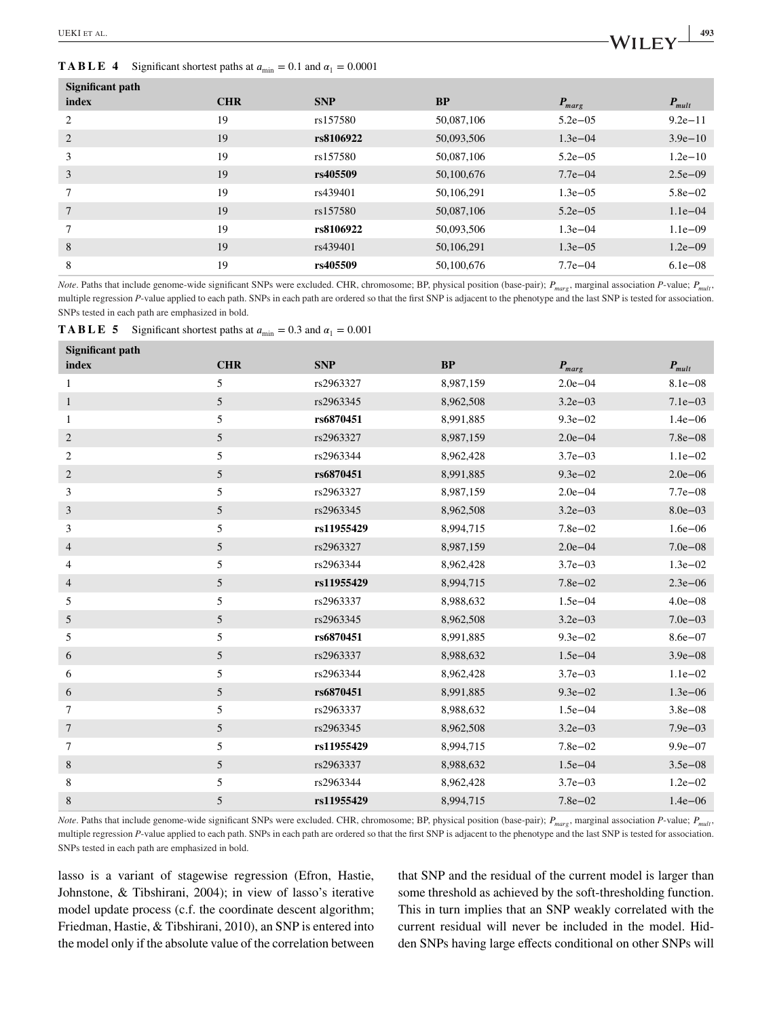#### **TABLE 4** Significant shortest paths at  $a_{\min} = 0.1$  and  $\alpha_1 = 0.0001$

| Significant path |            |            |            |              |             |  |
|------------------|------------|------------|------------|--------------|-------------|--|
| index            | <b>CHR</b> | <b>SNP</b> | BP         | $P_{marg}$   | $P_{mult}$  |  |
| 2                | 19         | rs157580   | 50,087,106 | $5.2e - 0.5$ | $9.2e-11$   |  |
| 2                | 19         | rs8106922  | 50,093,506 | $1.3e - 04$  | $3.9e - 10$ |  |
| 3                | 19         | rs157580   | 50,087,106 | $5.2e - 0.5$ | $1.2e-10$   |  |
| 3                | 19         | rs405509   | 50,100,676 | $7.7e - 04$  | $2.5e - 09$ |  |
|                  | 19         | rs439401   | 50,106,291 | $1.3e - 0.5$ | $5.8e - 02$ |  |
| 7                | 19         | rs157580   | 50,087,106 | $5.2e - 0.5$ | $1.1e{-}04$ |  |
| 7                | 19         | rs8106922  | 50,093,506 | $1.3e - 04$  | $1.1e - 09$ |  |
| 8                | 19         | rs439401   | 50,106,291 | $1.3e - 0.5$ | $1.2e - 09$ |  |
| 8                | 19         | rs405509   | 50,100,676 | $7.7e - 04$  | $6.1e - 08$ |  |

*Note*. Paths that include genome-wide significant SNPs were excluded. CHR, chromosome; BP, physical position (base-pair);  $P_{marg}$ , marginal association *P*-value;  $P_{multi}$ , multiple regression *P*-value applied to each path. SNPs in each path are ordered so that the first SNP is adjacent to the phenotype and the last SNP is tested for association. SNPs tested in each path are emphasized in bold.

|  |  |  | <b>TABLE 5</b> Significant shortest paths at $a_{\min} = 0.3$ and $\alpha_1 = 0.001$ |  |  |  |  |  |  |  |
|--|--|--|--------------------------------------------------------------------------------------|--|--|--|--|--|--|--|
|--|--|--|--------------------------------------------------------------------------------------|--|--|--|--|--|--|--|

| Significant path |               |            |           |             |             |
|------------------|---------------|------------|-----------|-------------|-------------|
| index            | <b>CHR</b>    | <b>SNP</b> | <b>BP</b> | $P_{marg}$  | $P_{mult}$  |
| $\mathbf{1}$     | 5             | rs2963327  | 8,987,159 | $2.0e - 04$ | 8.1e-08     |
| $\mathbf{1}$     | 5             | rs2963345  | 8,962,508 | $3.2e - 03$ | $7.1e - 03$ |
| $\mathbf{1}$     | 5             | rs6870451  | 8,991,885 | $9.3e - 02$ | $1.4e - 06$ |
| $\overline{c}$   | 5             | rs2963327  | 8,987,159 | $2.0e - 04$ | $7.8e - 08$ |
| $\overline{c}$   | 5             | rs2963344  | 8,962,428 | $3.7e - 03$ | $1.1e - 02$ |
| $\overline{c}$   | 5             | rs6870451  | 8,991,885 | $9.3e - 02$ | $2.0e - 06$ |
| 3                | 5             | rs2963327  | 8,987,159 | $2.0e - 04$ | $7.7e - 08$ |
| 3                | 5             | rs2963345  | 8,962,508 | $3.2e - 03$ | $8.0e - 03$ |
| 3                | 5             | rs11955429 | 8,994,715 | $7.8e - 02$ | $1.6e - 06$ |
| $\overline{4}$   | $\mathfrak s$ | rs2963327  | 8,987,159 | $2.0e - 04$ | $7.0e - 08$ |
| 4                | 5             | rs2963344  | 8,962,428 | $3.7e - 03$ | $1.3e - 02$ |
| $\overline{4}$   | $\mathfrak s$ | rs11955429 | 8,994,715 | $7.8e - 02$ | $2.3e - 06$ |
| 5                | 5             | rs2963337  | 8,988,632 | $1.5e - 04$ | $4.0e - 08$ |
| $\mathfrak s$    | $\mathfrak s$ | rs2963345  | 8,962,508 | $3.2e - 03$ | $7.0e - 03$ |
| 5                | 5             | rs6870451  | 8,991,885 | $9.3e - 02$ | $8.6e - 07$ |
| 6                | $\mathfrak s$ | rs2963337  | 8,988,632 | $1.5e - 04$ | $3.9e - 08$ |
| 6                | 5             | rs2963344  | 8,962,428 | $3.7e - 03$ | $1.1e - 02$ |
| 6                | $\mathfrak s$ | rs6870451  | 8,991,885 | $9.3e - 02$ | $1.3e - 06$ |
| 7                | 5             | rs2963337  | 8,988,632 | $1.5e - 04$ | $3.8e - 08$ |
| $\tau$           | 5             | rs2963345  | 8,962,508 | $3.2e - 03$ | $7.9e - 03$ |
| $\tau$           | 5             | rs11955429 | 8,994,715 | $7.8e - 02$ | $9.9e - 07$ |
| 8                | 5             | rs2963337  | 8,988,632 | $1.5e - 04$ | $3.5e - 08$ |
| 8                | 5             | rs2963344  | 8,962,428 | $3.7e - 03$ | $1.2e - 02$ |
| 8                | 5             | rs11955429 | 8,994,715 | $7.8e - 02$ | $1.4e - 06$ |

*Note*. Paths that include genome-wide significant SNPs were excluded. CHR, chromosome; BP, physical position (base-pair);  $P_{max}$ , marginal association *P*-value;  $P_{mult}$ , multiple regression *P*-value applied to each path. SNPs in each path are ordered so that the first SNP is adjacent to the phenotype and the last SNP is tested for association. SNPs tested in each path are emphasized in bold.

lasso is a variant of stagewise regression (Efron, Hastie, Johnstone, & Tibshirani, 2004); in view of lasso's iterative model update process (c.f. the coordinate descent algorithm; Friedman, Hastie, & Tibshirani, 2010), an SNP is entered into the model only if the absolute value of the correlation between that SNP and the residual of the current model is larger than some threshold as achieved by the soft-thresholding function. This in turn implies that an SNP weakly correlated with the current residual will never be included in the model. Hidden SNPs having large effects conditional on other SNPs will

UEKI ET AL. **493**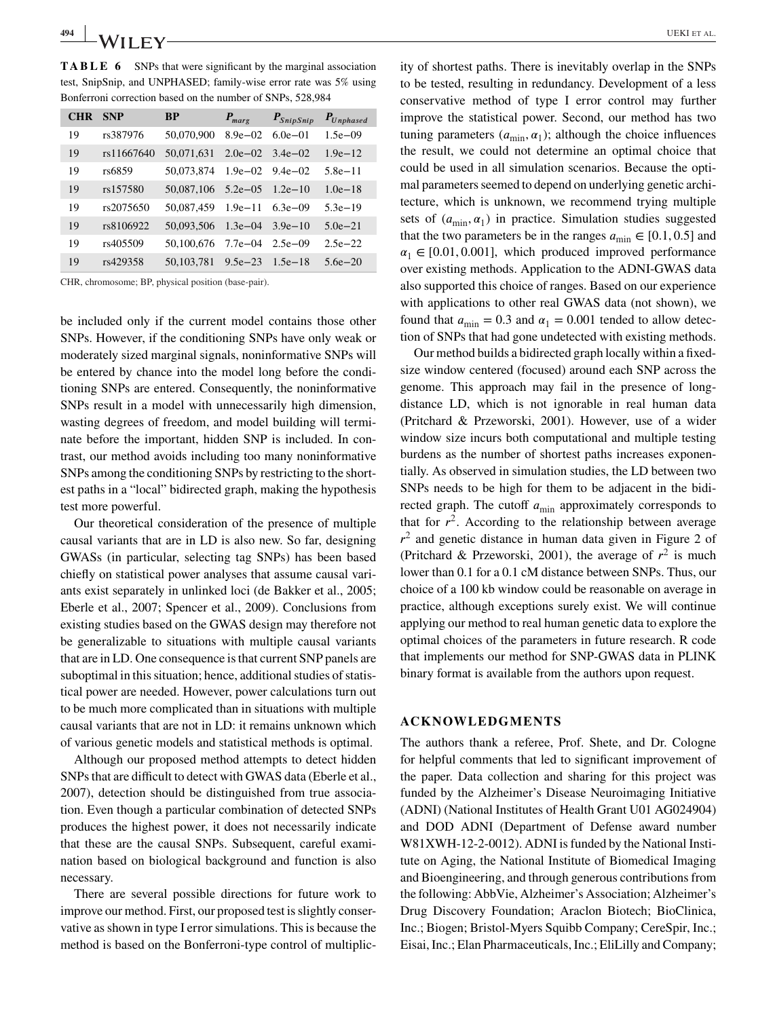**TABLE 6** SNPs that were significant by the marginal association test, SnipSnip, and UNPHASED; family-wise error rate was 5% using Bonferroni correction based on the number of SNPs, 528,984

|  | <b>CHR</b> | <b>SNP</b> | <b>BP</b>  | $P_{marg}$                  | $P_{SnipSnip}$ | $P_{Unphased}$ |  |  |
|--|------------|------------|------------|-----------------------------|----------------|----------------|--|--|
|  | 19         | rs387976   | 50,070,900 | $8.9e - 02 \quad 6.0e - 01$ |                | $1.5e - 09$    |  |  |
|  | 19         | rs11667640 | 50.071.631 | $2.0e - 02$                 | $3.4e - 02$    | $1.9e-12$      |  |  |
|  | 19         | rs6859     | 50.073.874 | $1.9e - 02$ $9.4e - 02$     |                | $5.8e - 11$    |  |  |
|  | 19         | rs157580   | 50.087.106 | $5.2e - 0.5$                | $1.2e-10$      | $1.0e - 18$    |  |  |
|  | 19         | rs2075650  | 50.087.459 | $1.9e - 11$                 | $6.3e - 09$    | $5.3e - 19$    |  |  |
|  | 19         | rs8106922  | 50.093.506 | $1.3e - 04$                 | $3.9e - 10$    | $5.0e - 21$    |  |  |
|  | 19         | rs405509   | 50,100,676 | $7.7e - 04$                 | $2.5e - 09$    | $2.5e - 22$    |  |  |
|  | 19         | rs429358   | 50.103.781 | $9.5e - 23$                 | $1.5e-18$      | $5.6e - 20$    |  |  |
|  |            |            |            |                             |                |                |  |  |

CHR, chromosome; BP, physical position (base-pair).

be included only if the current model contains those other SNPs. However, if the conditioning SNPs have only weak or moderately sized marginal signals, noninformative SNPs will be entered by chance into the model long before the conditioning SNPs are entered. Consequently, the noninformative SNPs result in a model with unnecessarily high dimension, wasting degrees of freedom, and model building will terminate before the important, hidden SNP is included. In contrast, our method avoids including too many noninformative SNPs among the conditioning SNPs by restricting to the shortest paths in a "local" bidirected graph, making the hypothesis test more powerful.

Our theoretical consideration of the presence of multiple causal variants that are in LD is also new. So far, designing GWASs (in particular, selecting tag SNPs) has been based chiefly on statistical power analyses that assume causal variants exist separately in unlinked loci (de Bakker et al., 2005; Eberle et al., 2007; Spencer et al., 2009). Conclusions from existing studies based on the GWAS design may therefore not be generalizable to situations with multiple causal variants that are in LD. One consequence is that current SNP panels are suboptimal in this situation; hence, additional studies of statistical power are needed. However, power calculations turn out to be much more complicated than in situations with multiple causal variants that are not in LD: it remains unknown which of various genetic models and statistical methods is optimal.

Although our proposed method attempts to detect hidden SNPs that are difficult to detect with GWAS data (Eberle et al., 2007), detection should be distinguished from true association. Even though a particular combination of detected SNPs produces the highest power, it does not necessarily indicate that these are the causal SNPs. Subsequent, careful examination based on biological background and function is also necessary.

There are several possible directions for future work to improve our method. First, our proposed test is slightly conservative as shown in type I error simulations. This is because the method is based on the Bonferroni-type control of multiplicity of shortest paths. There is inevitably overlap in the SNPs to be tested, resulting in redundancy. Development of a less conservative method of type I error control may further improve the statistical power. Second, our method has two tuning parameters  $(a_{\min}, a_1)$ ; although the choice influences the result, we could not determine an optimal choice that could be used in all simulation scenarios. Because the optimal parameters seemed to depend on underlying genetic architecture, which is unknown, we recommend trying multiple sets of  $(a_{\text{min}}, \alpha_1)$  in practice. Simulation studies suggested that the two parameters be in the ranges  $a_{\min} \in [0.1, 0.5]$  and  $\alpha_1 \in [0.01, 0.001]$ , which produced improved performance over existing methods. Application to the ADNI-GWAS data also supported this choice of ranges. Based on our experience with applications to other real GWAS data (not shown), we found that  $a_{\text{min}} = 0.3$  and  $\alpha_1 = 0.001$  tended to allow detection of SNPs that had gone undetected with existing methods.

Our method builds a bidirected graph locally within a fixedsize window centered (focused) around each SNP across the genome. This approach may fail in the presence of longdistance LD, which is not ignorable in real human data (Pritchard & Przeworski, 2001). However, use of a wider window size incurs both computational and multiple testing burdens as the number of shortest paths increases exponentially. As observed in simulation studies, the LD between two SNPs needs to be high for them to be adjacent in the bidirected graph. The cutoff  $a_{\text{min}}$  approximately corresponds to that for  $r^2$ . According to the relationship between average  $r<sup>2</sup>$  and genetic distance in human data given in Figure 2 of (Pritchard & Przeworski, 2001), the average of  $r^2$  is much lower than 0*.*1 for a 0.1 cM distance between SNPs. Thus, our choice of a 100 kb window could be reasonable on average in practice, although exceptions surely exist. We will continue applying our method to real human genetic data to explore the optimal choices of the parameters in future research. R code that implements our method for SNP-GWAS data in PLINK binary format is available from the authors upon request.

#### **ACKNOWLEDGMENTS**

The authors thank a referee, Prof. Shete, and Dr. Cologne for helpful comments that led to significant improvement of the paper. Data collection and sharing for this project was funded by the Alzheimer's Disease Neuroimaging Initiative (ADNI) (National Institutes of Health Grant U01 AG024904) and DOD ADNI (Department of Defense award number W81XWH-12-2-0012). ADNI is funded by the National Institute on Aging, the National Institute of Biomedical Imaging and Bioengineering, and through generous contributions from the following: AbbVie, Alzheimer's Association; Alzheimer's Drug Discovery Foundation; Araclon Biotech; BioClinica, Inc.; Biogen; Bristol-Myers Squibb Company; CereSpir, Inc.; Eisai, Inc.; Elan Pharmaceuticals, Inc.; EliLilly and Company;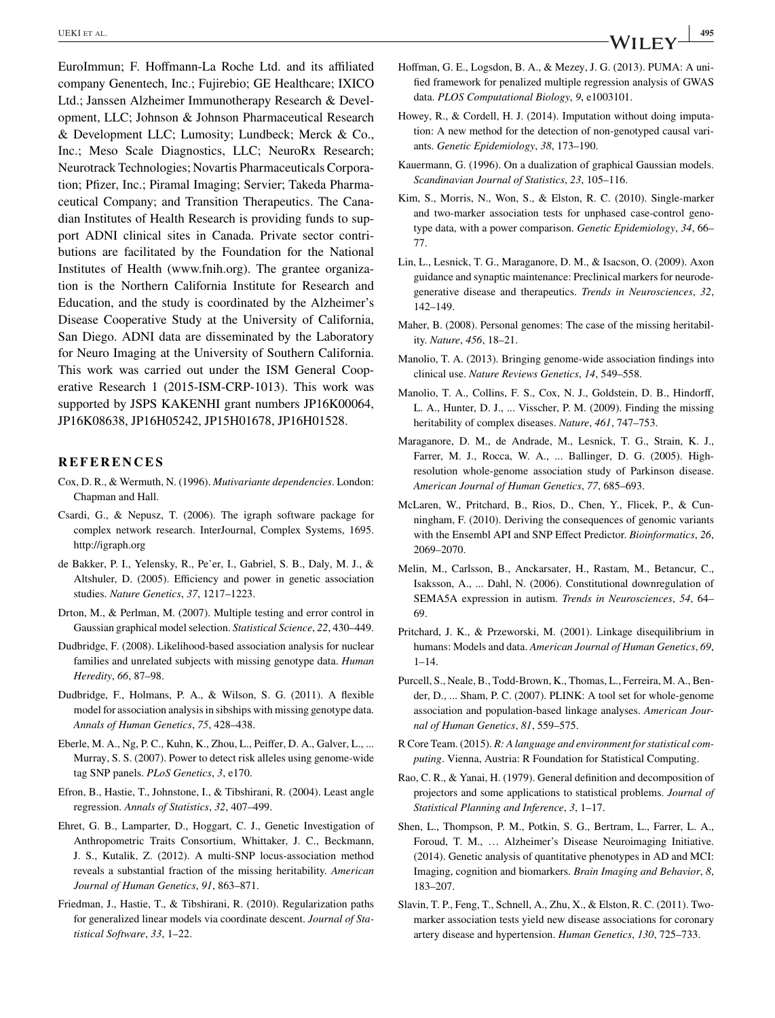EuroImmun; F. Hoffmann-La Roche Ltd. and its affiliated company Genentech, Inc.; Fujirebio; GE Healthcare; IXICO Ltd.; Janssen Alzheimer Immunotherapy Research & Development, LLC; Johnson & Johnson Pharmaceutical Research & Development LLC; Lumosity; Lundbeck; Merck & Co., Inc.; Meso Scale Diagnostics, LLC; NeuroRx Research; Neurotrack Technologies; Novartis Pharmaceuticals Corporation; Pfizer, Inc.; Piramal Imaging; Servier; Takeda Pharmaceutical Company; and Transition Therapeutics. The Canadian Institutes of Health Research is providing funds to support ADNI clinical sites in Canada. Private sector contributions are facilitated by the Foundation for the National Institutes of Health [\(www.fnih.org\)](http://www.fnih.org). The grantee organization is the Northern California Institute for Research and Education, and the study is coordinated by the Alzheimer's Disease Cooperative Study at the University of California, San Diego. ADNI data are disseminated by the Laboratory for Neuro Imaging at the University of Southern California. This work was carried out under the ISM General Cooperative Research 1 (2015-ISM-CRP-1013). This work was supported by JSPS KAKENHI grant numbers JP16K00064, JP16K08638, JP16H05242, JP15H01678, JP16H01528.

#### **REFERENCES**

- Cox, D. R., & Wermuth, N. (1996). *Mutivariante dependencies*. London: Chapman and Hall.
- Csardi, G., & Nepusz, T. (2006). The igraph software package for complex network research. InterJournal, Complex Systems, 1695. <http://igraph.org>
- de Bakker, P. I., Yelensky, R., Pe'er, I., Gabriel, S. B., Daly, M. J., & Altshuler, D. (2005). Efficiency and power in genetic association studies. *Nature Genetics*, *37*, 1217–1223.
- Drton, M., & Perlman, M. (2007). Multiple testing and error control in Gaussian graphical model selection. *Statistical Science*, *22*, 430–449.
- Dudbridge, F. (2008). Likelihood-based association analysis for nuclear families and unrelated subjects with missing genotype data. *Human Heredity*, *66*, 87–98.
- Dudbridge, F., Holmans, P. A., & Wilson, S. G. (2011). A flexible model for association analysis in sibships with missing genotype data. *Annals of Human Genetics*, *75*, 428–438.
- Eberle, M. A., Ng, P. C., Kuhn, K., Zhou, L., Peiffer, D. A., Galver, L., ... Murray, S. S. (2007). Power to detect risk alleles using genome-wide tag SNP panels. *PLoS Genetics*, *3*, e170.
- Efron, B., Hastie, T., Johnstone, I., & Tibshirani, R. (2004). Least angle regression. *Annals of Statistics*, *32*, 407–499.
- Ehret, G. B., Lamparter, D., Hoggart, C. J., Genetic Investigation of Anthropometric Traits Consortium, Whittaker, J. C., Beckmann, J. S., Kutalik, Z. (2012). A multi-SNP locus-association method reveals a substantial fraction of the missing heritability. *American Journal of Human Genetics*, *91*, 863–871.
- Friedman, J., Hastie, T., & Tibshirani, R. (2010). Regularization paths for generalized linear models via coordinate descent. *Journal of Statistical Software*, *33*, 1–22.
- Hoffman, G. E., Logsdon, B. A., & Mezey, J. G. (2013). PUMA: A unified framework for penalized multiple regression analysis of GWAS data. *PLOS Computational Biology*, *9*, e1003101.
- Howey, R., & Cordell, H. J. (2014). Imputation without doing imputation: A new method for the detection of non-genotyped causal variants. *Genetic Epidemiology*, *38*, 173–190.
- Kauermann, G. (1996). On a dualization of graphical Gaussian models. *Scandinavian Journal of Statistics*, *23*, 105–116.
- Kim, S., Morris, N., Won, S., & Elston, R. C. (2010). Single-marker and two-marker association tests for unphased case-control genotype data, with a power comparison. *Genetic Epidemiology*, *34*, 66– 77.
- Lin, L., Lesnick, T. G., Maraganore, D. M., & Isacson, O. (2009). Axon guidance and synaptic maintenance: Preclinical markers for neurodegenerative disease and therapeutics. *Trends in Neurosciences*, *32*, 142–149.
- Maher, B. (2008). Personal genomes: The case of the missing heritability. *Nature*, *456*, 18–21.
- Manolio, T. A. (2013). Bringing genome-wide association findings into clinical use. *Nature Reviews Genetics*, *14*, 549–558.
- Manolio, T. A., Collins, F. S., Cox, N. J., Goldstein, D. B., Hindorff, L. A., Hunter, D. J., ... Visscher, P. M. (2009). Finding the missing heritability of complex diseases. *Nature*, *461*, 747–753.
- Maraganore, D. M., de Andrade, M., Lesnick, T. G., Strain, K. J., Farrer, M. J., Rocca, W. A., ... Ballinger, D. G. (2005). Highresolution whole-genome association study of Parkinson disease. *American Journal of Human Genetics*, *77*, 685–693.
- McLaren, W., Pritchard, B., Rios, D., Chen, Y., Flicek, P., & Cunningham, F. (2010). Deriving the consequences of genomic variants with the Ensembl API and SNP Effect Predictor. *Bioinformatics*, *26*, 2069–2070.
- Melin, M., Carlsson, B., Anckarsater, H., Rastam, M., Betancur, C., Isaksson, A., ... Dahl, N. (2006). Constitutional downregulation of SEMA5A expression in autism. *Trends in Neurosciences*, *54*, 64– 69.
- Pritchard, J. K., & Przeworski, M. (2001). Linkage disequilibrium in humans: Models and data. *American Journal of Human Genetics*, *69*, 1–14.
- Purcell, S., Neale, B., Todd-Brown, K., Thomas, L., Ferreira, M. A., Bender, D., ... Sham, P. C. (2007). PLINK: A tool set for whole-genome association and population-based linkage analyses. *American Journal of Human Genetics*, *81*, 559–575.
- R Core Team. (2015). *R: A language and environment for statistical computing*. Vienna, Austria: R Foundation for Statistical Computing.
- Rao, C. R., & Yanai, H. (1979). General definition and decomposition of projectors and some applications to statistical problems. *Journal of Statistical Planning and Inference*, *3*, 1–17.
- Shen, L., Thompson, P. M., Potkin, S. G., Bertram, L., Farrer, L. A., Foroud, T. M., … Alzheimer's Disease Neuroimaging Initiative. (2014). Genetic analysis of quantitative phenotypes in AD and MCI: Imaging, cognition and biomarkers. *Brain Imaging and Behavior*, *8*, 183–207.
- Slavin, T. P., Feng, T., Schnell, A., Zhu, X., & Elston, R. C. (2011). Twomarker association tests yield new disease associations for coronary artery disease and hypertension. *Human Genetics*, *130*, 725–733.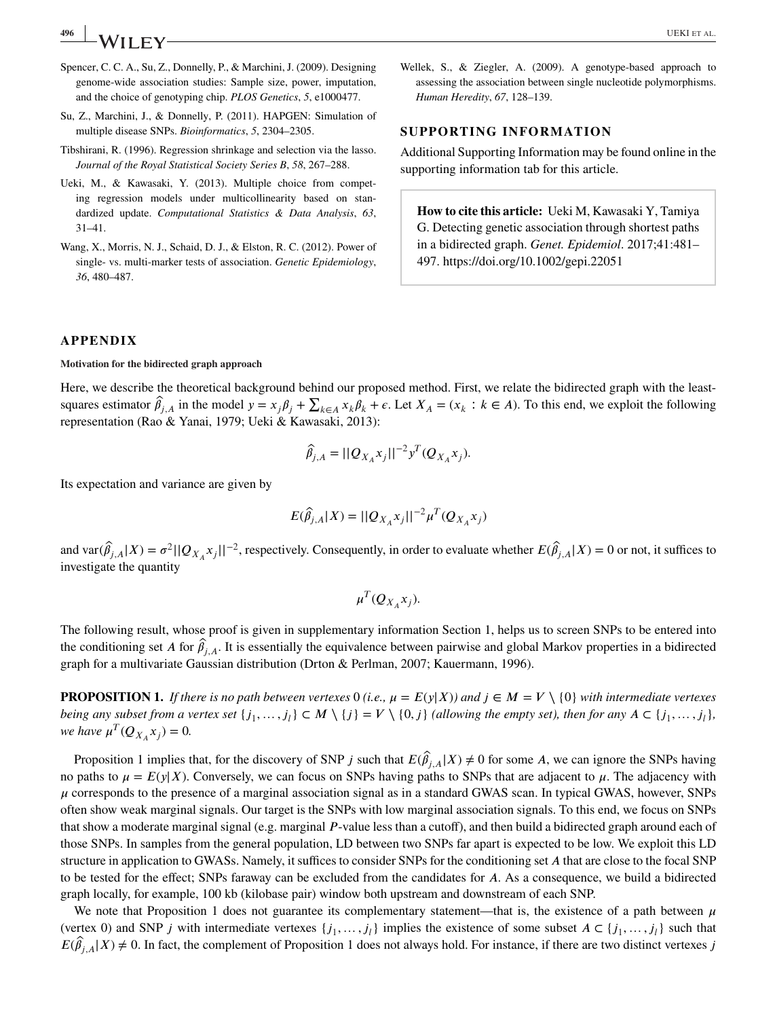- Spencer, C. C. A., Su, Z., Donnelly, P., & Marchini, J. (2009). Designing genome-wide association studies: Sample size, power, imputation, and the choice of genotyping chip. *PLOS Genetics*, *5*, e1000477.
- Su, Z., Marchini, J., & Donnelly, P. (2011). HAPGEN: Simulation of multiple disease SNPs. *Bioinformatics*, *5*, 2304–2305.
- Tibshirani, R. (1996). Regression shrinkage and selection via the lasso. *Journal of the Royal Statistical Society Series B*, *58*, 267–288.
- Ueki, M., & Kawasaki, Y. (2013). Multiple choice from competing regression models under multicollinearity based on standardized update. *Computational Statistics & Data Analysis*, *63*, 31–41.
- Wang, X., Morris, N. J., Schaid, D. J., & Elston, R. C. (2012). Power of single- vs. multi-marker tests of association. *Genetic Epidemiology*, *36*, 480–487.

Wellek, S., & Ziegler, A. (2009). A genotype-based approach to assessing the association between single nucleotide polymorphisms. *Human Heredity*, *67*, 128–139.

#### **SUPPORTING INFORMATION**

Additional Supporting Information may be found online in the supporting information tab for this article.

**How to cite this article:** Ueki M, Kawasaki Y, Tamiya G. Detecting genetic association through shortest paths in a bidirected graph. *Genet. Epidemiol*. 2017;41:481– 497.<https://doi.org/10.1002/gepi.22051>

#### **APPENDIX**

**Motivation for the bidirected graph approach**

Here, we describe the theoretical background behind our proposed method. First, we relate the bidirected graph with the leastsquares estimator  $\hat{\beta}_{j,A}$  in the model  $y = x_j \beta_j + \sum_{k \in A} x_k \beta_k + \epsilon$ . Let  $X_A = (x_k : k \in A)$ . To this end, we exploit the following representation (Rao & Yanai, 1979; Ueki & Kawasaki, 2013):

$$
\widehat{\beta}_{j,A} = ||Q_{X_A} x_j||^{-2} y^T (Q_{X_A} x_j).
$$

Its expectation and variance are given by

$$
E(\hat{\beta}_{j,A}|X) = ||Q_{X_A} x_j||^{-2} \mu^T (Q_{X_A} x_j)
$$

and  $\text{var}(\hat{\beta}_{j,A}|X) = \sigma^2 ||Q_{X_A} x_j||^{-2}$ , respectively. Consequently, in order to evaluate whether  $E(\hat{\beta}_{j,A}|X) = 0$  or not, it suffices to investigate the quantity

$$
\mu^T(Q_{X_A}x_j).
$$

The following result, whose proof is given in supplementary information Section 1, helps us to screen SNPs to be entered into the conditioning set A for  $\hat{\beta}_{j,A}$ . It is essentially the equivalence between pairwise and global Markov properties in a bidirected graph for a multivariate Gaussian distribution (Drton & Perlman, 2007; Kauermann, 1996).

**PROPOSITION 1.** *If there is no path between vertexes* 0 (*i.e.*,  $\mu = E(y|X)$ ) and  $j \in M = V \setminus \{0\}$  with intermediate vertexes *being any subset from a vertex set*  $\{j_1, ..., j_l\} \subset M \setminus \{j\} = V \setminus \{0, j\}$  *(allowing the empty set), then for any*  $A \subset \{j_1, ..., j_l\}$ , *we have*  $\mu^T(Q_{X_A}x_j) = 0$ *.* 

Proposition 1 implies that, for the discovery of SNP *j* such that  $E(\hat{\beta}_{j,A}|X) \neq 0$  for some *A*, we can ignore the SNPs having no paths to  $\mu = E(y|X)$ . Conversely, we can focus on SNPs having paths to SNPs that are adjacent to  $\mu$ . The adjacency with  $\mu$  corresponds to the presence of a marginal association signal as in a standard GWAS scan. In typical GWAS, however, SNPs often show weak marginal signals. Our target is the SNPs with low marginal association signals. To this end, we focus on SNPs that show a moderate marginal signal (e.g. marginal  $P$ -value less than a cutoff), and then build a bidirected graph around each of those SNPs. In samples from the general population, LD between two SNPs far apart is expected to be low. We exploit this LD structure in application to GWASs. Namely, it suffices to consider SNPs for the conditioning set A that are close to the focal SNP to be tested for the effect; SNPs faraway can be excluded from the candidates for A. As a consequence, we build a bidirected graph locally, for example, 100 kb (kilobase pair) window both upstream and downstream of each SNP.

We note that Proposition 1 does not guarantee its complementary statement—that is, the existence of a path between  $\mu$ (vertex 0) and SNP *j* with intermediate vertexes  $\{j_1, \ldots, j_l\}$  implies the existence of some subset  $A \subset \{j_1, \ldots, j_l\}$  such that  $E(\hat{\beta}_{j,A}|X) \neq 0$ . In fact, the complement of Proposition 1 does not always hold. For instance, if there are two distinct vertexes j